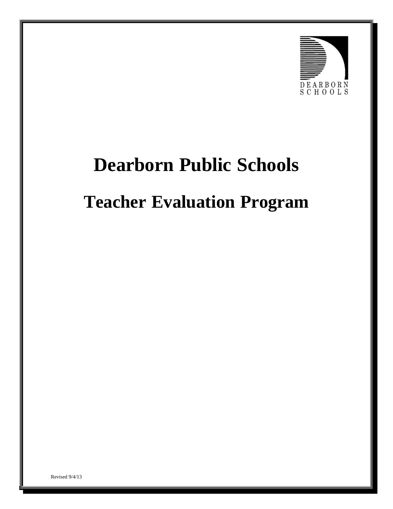

# **Dearborn Public Schools**

# **Teacher Evaluation Program**

Revised 9/4/13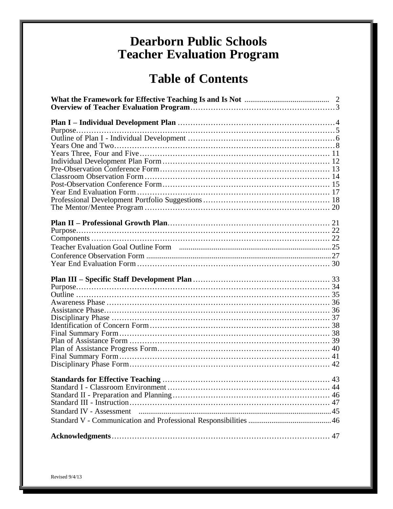## **Dearborn Public Schools Teacher Evaluation Program**

## **Table of Contents**

| 44 |
|----|
|    |
|    |
|    |
|    |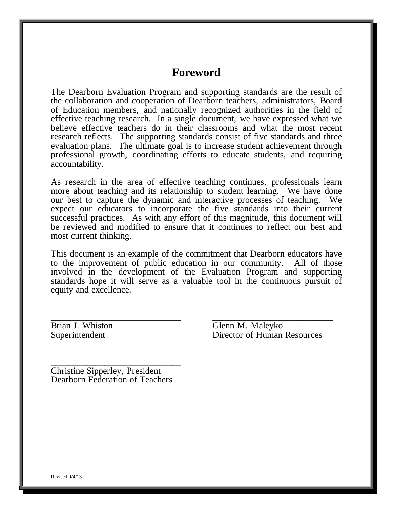## **Foreword**

The Dearborn Evaluation Program and supporting standards are the result of the collaboration and cooperation of Dearborn teachers, administrators, Board of Education members, and nationally recognized authorities in the field of effective teaching research. In a single document, we have expressed what we believe effective teachers do in their classrooms and what the most recent research reflects. The supporting standards consist of five standards and three evaluation plans. The ultimate goal is to increase student achievement through professional growth, coordinating efforts to educate students, and requiring accountability.

As research in the area of effective teaching continues, professionals learn more about teaching and its relationship to student learning. We have done our best to capture the dynamic and interactive processes of teaching. We expect our educators to incorporate the five standards into their current successful practices. As with any effort of this magnitude, this document will be reviewed and modified to ensure that it continues to reflect our best and most current thinking.

This document is an example of the commitment that Dearborn educators have to the improvement of public education in our community. All of those involved in the development of the Evaluation Program and supporting standards hope it will serve as a valuable tool in the continuous pursuit of equity and excellence.

\_\_\_\_\_\_\_\_\_\_\_\_\_\_\_\_\_\_\_\_\_\_\_\_\_\_\_\_\_ \_\_\_\_\_\_\_\_\_\_\_\_\_\_\_\_\_\_\_\_\_\_\_\_\_\_\_ Brian J. Whiston Glenn M. Maleyko Superintendent Director of Human Resources

\_\_\_\_\_\_\_\_\_\_\_\_\_\_\_\_\_\_\_\_\_\_\_\_\_\_\_\_\_ Christine Sipperley, President Dearborn Federation of Teachers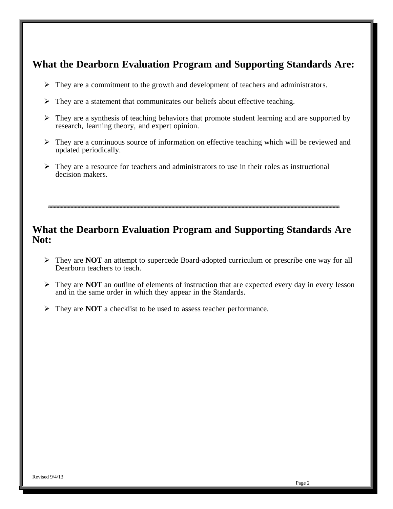## **What the Dearborn Evaluation Program and Supporting Standards Are:**

- $\triangleright$  They are a commitment to the growth and development of teachers and administrators.
- $\triangleright$  They are a statement that communicates our beliefs about effective teaching.
- $\triangleright$  They are a synthesis of teaching behaviors that promote student learning and are supported by research, learning theory, and expert opinion.
- $\triangleright$  They are a continuous source of information on effective teaching which will be reviewed and updated periodically.
- $\triangleright$  They are a resource for teachers and administrators to use in their roles as instructional decision makers.

## **What the Dearborn Evaluation Program and Supporting Standards Are Not:**

- They are **NOT** an attempt to supercede Board-adopted curriculum or prescribe one way for all Dearborn teachers to teach.
- $\triangleright$  They are **NOT** an outline of elements of instruction that are expected every day in every lesson and in the same order in which they appear in the Standards.
- They are **NOT** a checklist to be used to assess teacher performance.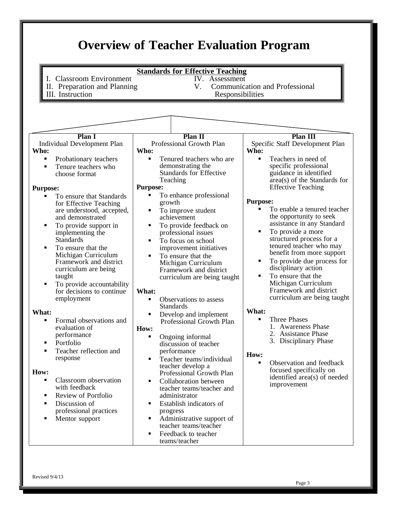<span id="page-4-0"></span>

| I. Classroom Environment<br>II. Preparation and Planning<br>III. Instruction                                                                                                                                                                                                                                                                                                                                                                                                                                                                                                                                                                                                                                                                                                                                                                                                         | <b>Standards for Effective Teaching</b><br>IV. Assessment<br>V.<br>Responsibilities                                                                                                                                                                                                                                                                                                                                                                                                                                                                                                                                                                                                                                                                                                                                                                                                                                                                                                                                | <b>Communication and Professional</b>                                                                                                                                                                                                                                                                                                                                                                                                                                                                                                                                                                                                                                                                                                                                                                                       |
|--------------------------------------------------------------------------------------------------------------------------------------------------------------------------------------------------------------------------------------------------------------------------------------------------------------------------------------------------------------------------------------------------------------------------------------------------------------------------------------------------------------------------------------------------------------------------------------------------------------------------------------------------------------------------------------------------------------------------------------------------------------------------------------------------------------------------------------------------------------------------------------|--------------------------------------------------------------------------------------------------------------------------------------------------------------------------------------------------------------------------------------------------------------------------------------------------------------------------------------------------------------------------------------------------------------------------------------------------------------------------------------------------------------------------------------------------------------------------------------------------------------------------------------------------------------------------------------------------------------------------------------------------------------------------------------------------------------------------------------------------------------------------------------------------------------------------------------------------------------------------------------------------------------------|-----------------------------------------------------------------------------------------------------------------------------------------------------------------------------------------------------------------------------------------------------------------------------------------------------------------------------------------------------------------------------------------------------------------------------------------------------------------------------------------------------------------------------------------------------------------------------------------------------------------------------------------------------------------------------------------------------------------------------------------------------------------------------------------------------------------------------|
| Plan 1<br><b>Individual Development Plan</b><br>Who:<br>$\blacksquare$<br>Probationary teachers<br>Tenure teachers who<br>$\blacksquare$<br>choose format<br><b>Purpose:</b><br>To ensure that Standards<br>for Effective Teaching<br>are understood, accepted,<br>and demonstrated<br>To provide support in<br>٠<br>implementing the<br>Standards<br>To ensure that the<br>$\blacksquare$<br>Michigan Curriculum<br>Framework and district<br>curriculum are being<br>taught<br>To provide accountability<br>٠<br>for decisions to continue<br>employment<br>What:<br>$\blacksquare$<br>Formal observations and<br>evaluation of<br>performance<br>Portfolio<br>п<br>Teacher reflection and<br>п<br>response<br>How:<br>$\blacksquare$<br>Classroom observation<br>with feedback<br>Review of Portfolio<br>٠<br>Discussion of<br>٠<br>professional practices<br>Mentor support<br>٠ | Plan II<br>Professional Growth Plan<br>Who:<br>$\blacksquare$<br>Tenured teachers who are<br>demonstrating the<br><b>Standards for Effective</b><br>Teaching<br><b>Purpose:</b><br>To enhance professional<br>growth<br>To improve student<br>٠<br>achievement<br>To provide feedback on<br>п<br>professional issues<br>To focus on school<br>٠<br>improvement initiatives<br>To ensure that the<br>п<br>Michigan Curriculum<br>Framework and district<br>curriculum are being taught<br>What:<br>Observations to assess<br>$\blacksquare$<br><b>Standards</b><br>Develop and implement<br>П<br>Professional Growth Plan<br>How:<br>Ongoing informal<br>٠<br>discussion of teacher<br>performance<br>Teacher teams/individual<br>$\blacksquare$<br>teacher develop a<br>Professional Growth Plan<br>Collaboration between<br>$\blacksquare$<br>teacher teams/teacher and<br>administrator<br>Establish indicators of<br>progress<br>Administrative support of<br>٠<br>teacher teams/teacher<br>Feedback to teacher | <b>Plan III</b><br>Specific Staff Development Plan<br>Who:<br>Teachers in need of<br>$\blacksquare$<br>specific professional<br>guidance in identified<br>area(s) of the Standards for<br><b>Effective Teaching</b><br><b>Purpose:</b><br>To enable a tenured teacher<br>the opportunity to seek<br>assistance in any Standard<br>To provide a more<br>٠<br>structured process for a<br>tenured teacher who may<br>benefit from more support<br>To provide due process for<br>disciplinary action<br>To ensure that the<br>Michigan Curriculum<br>Framework and district<br>curriculum are being taught<br>What:<br><b>Three Phases</b><br>1. Awareness Phase<br>2. Assistance Phase<br>3. Disciplinary Phase<br>How:<br>Observation and feedback<br>focused specifically on<br>identified area(s) of needed<br>improvement |

Revised 9/4/13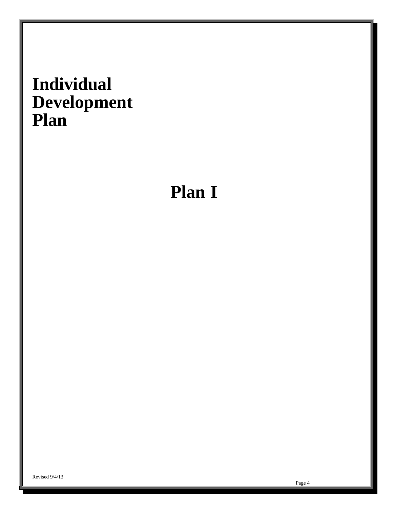# <span id="page-5-0"></span>**Individual Development Plan**

# **Plan I**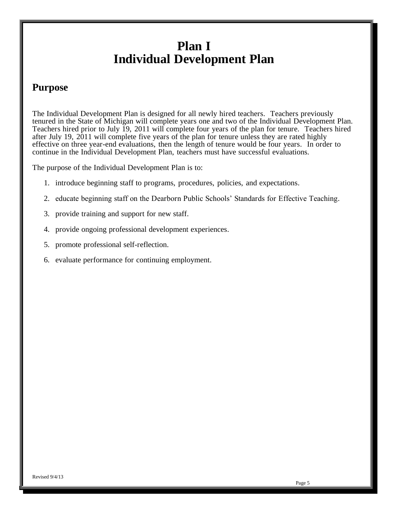## **Plan I Individual Development Plan**

## <span id="page-6-0"></span>**Purpose**

The Individual Development Plan is designed for all newly hired teachers. Teachers previously tenured in the State of Michigan will complete years one and two of the Individual Development Plan. Teachers hired prior to July 19, 2011 will complete four years of the plan for tenure. Teachers hired after July 19, 2011 will complete five years of the plan for tenure unless they are rated highly effective on three year-end evaluations, then the length of tenure would be four years. In order to continue in the Individual Development Plan, teachers must have successful evaluations.

The purpose of the Individual Development Plan is to:

- 1. introduce beginning staff to programs, procedures, policies, and expectations.
- 2. educate beginning staff on the Dearborn Public Schools' Standards for Effective Teaching.
- 3. provide training and support for new staff.
- 4. provide ongoing professional development experiences.
- 5. promote professional self-reflection.
- 6. evaluate performance for continuing employment.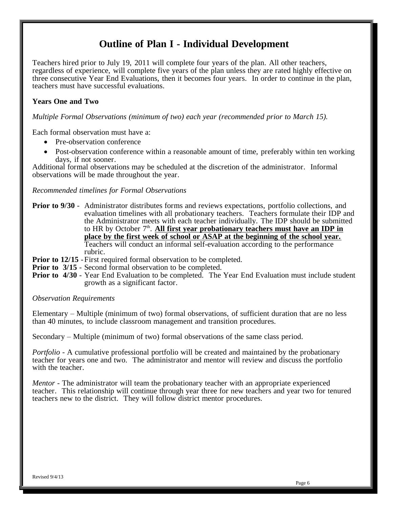## **Outline of Plan I - Individual Development**

<span id="page-7-0"></span>Teachers hired prior to July 19, 2011 will complete four years of the plan. All other teachers, regardless of experience, will complete five years of the plan unless they are rated highly effective on three consecutive Year End Evaluations, then it becomes four years. In order to continue in the plan, teachers must have successful evaluations.

#### **Years One and Two**

*Multiple Formal Observations (minimum of two) each year (recommended prior to March 15).*

Each formal observation must have a:

- Pre-observation conference
- Post-observation conference within a reasonable amount of time, preferably within ten working days, if not sooner.

Additional formal observations may be scheduled at the discretion of the administrator. Informal observations will be made throughout the year.

#### *Recommended timelines for Formal Observations*

- **Prior to 9/30** Administrator distributes forms and reviews expectations, portfolio collections, and evaluation timelines with all probationary teachers. Teachers formulate their IDP and the Administrator meets with each teacher individually. The IDP should be submitted to HR by October 7<sup>th</sup>. All first year probationary teachers must have an IDP in **place by the first week of school or ASAP at the beginning of the school year.** Teachers will conduct an informal self-evaluation according to the performance rubric.
- **Prior to 12/15** First required formal observation to be completed.
- **Prior to 3/15** Second formal observation to be completed.
- **Prior to 4/30** Year End Evaluation to be completed. The Year End Evaluation must include student growth as a significant factor.

#### *Observation Requirements*

Elementary – Multiple (minimum of two) formal observations, of sufficient duration that are no less than 40 minutes, to include classroom management and transition procedures.

Secondary – Multiple (minimum of two) formal observations of the same class period.

*Portfolio* - A cumulative professional portfolio will be created and maintained by the probationary teacher for years one and two. The administrator and mentor will review and discuss the portfolio with the teacher.

*Mentor* - The administrator will team the probationary teacher with an appropriate experienced teacher. This relationship will continue through year three for new teachers and year two for tenured teachers new to the district. They will follow district mentor procedures.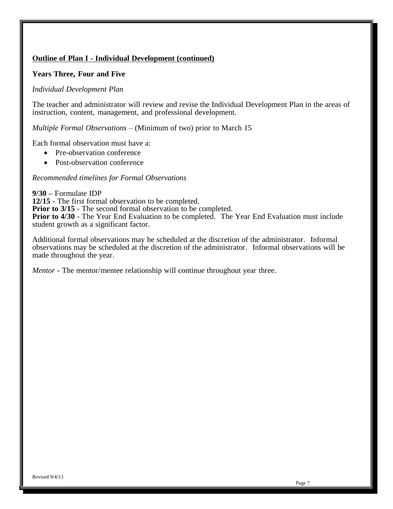### **Outline of Plan I - Individual Development (continued)**

#### **Years Three, Four and Five**

#### *Individual Development Plan*

The teacher and administrator will review and revise the Individual Development Plan in the areas of instruction, content, management, and professional development.

*Multiple Formal Observations* – (Minimum of two) prior to March 15

Each formal observation must have a:

- Pre-observation conference
- Post-observation conference

#### *Recommended timelines for Formal Observations*

**9/30 –** Formulate IDP **12/15** - The first formal observation to be completed. **Prior to 3/15** - The second formal observation to be completed. **Prior to 4/30** - The Year End Evaluation to be completed. The Year End Evaluation must include student growth as a significant factor.

Additional formal observations may be scheduled at the discretion of the administrator. Informal observations may be scheduled at the discretion of the administrator. Informal observations will be made throughout the year.

*Mentor* - The mentor/mentee relationship will continue throughout year three.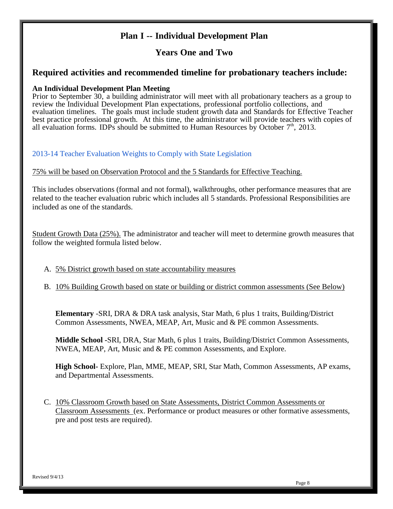## **Plan I -- Individual Development Plan**

## **Years One and Two**

### <span id="page-9-0"></span>**Required activities and recommended timeline for probationary teachers include:**

#### **An Individual Development Plan Meeting**

Prior to September 30, a building administrator will meet with all probationary teachers as a group to review the Individual Development Plan expectations, professional portfolio collections, and evaluation timelines. The goals must include student growth data and Standards for Effective Teacher best practice professional growth. At this time, the administrator will provide teachers with copies of all evaluation forms. IDPs should be submitted to Human Resources by October  $7<sup>th</sup>$ , 2013.

2013-14 Teacher Evaluation Weights to Comply with State Legislation

75% will be based on Observation Protocol and the 5 Standards for Effective Teaching.

This includes observations (formal and not formal), walkthroughs, other performance measures that are related to the teacher evaluation rubric which includes all 5 standards. Professional Responsibilities are included as one of the standards.

Student Growth Data (25%). The administrator and teacher will meet to determine growth measures that follow the weighted formula listed below.

- A. 5% District growth based on state accountability measures
- B. 10% Building Growth based on state or building or district common assessments (See Below)

**Elementary** -SRI, DRA & DRA task analysis, Star Math, 6 plus 1 traits, Building/District Common Assessments, NWEA, MEAP, Art, Music and & PE common Assessments.

**Middle School -**SRI, DRA, Star Math, 6 plus 1 traits, Building/District Common Assessments, NWEA, MEAP, Art, Music and & PE common Assessments, and Explore.

**High School-** Explore, Plan, MME, MEAP, SRI, Star Math, Common Assessments, AP exams, and Departmental Assessments.

C. 10% Classroom Growth based on State Assessments, District Common Assessments or Classroom Assessments (ex. Performance or product measures or other formative assessments, pre and post tests are required).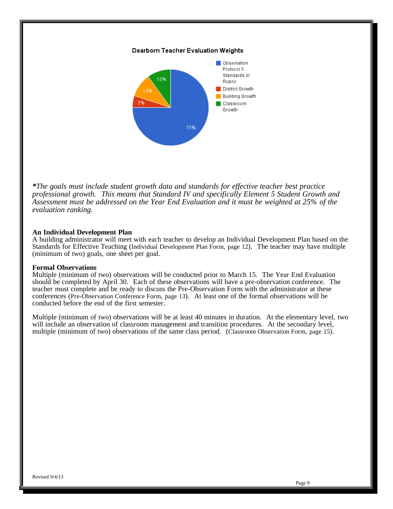#### Dearborn Teacher Evaluation Weights



*\*The goals must include student growth data and standards for effective teacher best practice professional growth. This means that Standard IV and specifically Element 5 Student Growth and Assessment must be addressed on the Year End Evaluation and it must be weighted at 25% of the evaluation ranking.*

#### **An Individual Development Plan**

A building administrator will meet with each teacher to develop an Individual Development Plan based on the Standards for Effective Teaching (Individual Development Plan Form, page 12). The teacher may have multiple (minimum of two) goals, one sheet per goal.

#### **Formal Observations**

Multiple (minimum of two) observations will be conducted prior to March 15. The Year End Evaluation should be completed by April 30. Each of these observations will have a pre-observation conference. The teacher must complete and be ready to discuss the Pre-Observation Form with the administrator at these conferences (Pre-Observation Conference Form, page 13). At least one of the formal observations will be conducted before the end of the first semester.

Multiple (minimum of two) observations will be at least 40 minutes in duration. At the elementary level, two will include an observation of classroom management and transition procedures. At the secondary level, multiple (minimum of two) observations of the same class period. (Classroom Observation Form, page 15).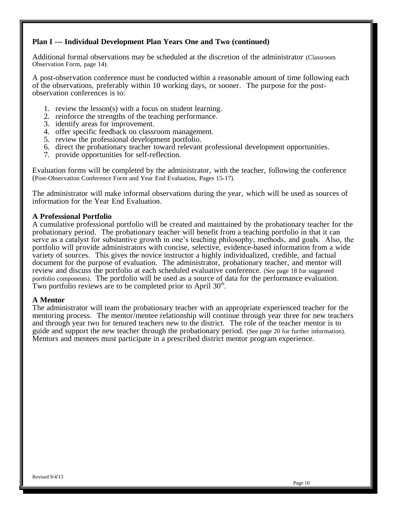#### **Plan I --- Individual Development Plan Years One and Two (continued)**

Additional formal observations may be scheduled at the discretion of the administrator (Classroom Observation Form, page 14).

A post-observation conference must be conducted within a reasonable amount of time following each of the observations, preferably within 10 working days, or sooner. The purpose for the postobservation conferences is to:

- 1. review the lesson(s) with a focus on student learning.
- 2. reinforce the strengths of the teaching performance.
- 3. identify areas for improvement.
- 4. offer specific feedback on classroom management.
- 5. review the professional development portfolio.
- 6. direct the probationary teacher toward relevant professional development opportunities.
- 7. provide opportunities for self-reflection.

Evaluation forms will be completed by the administrator, with the teacher, following the conference (Post-Observation Conference Form and Year End Evaluation, Pages 15-17).

The administrator will make informal observations during the year, which will be used as sources of information for the Year End Evaluation.

#### **A Professional Portfolio**

A cumulative professional portfolio will be created and maintained by the probationary teacher for the probationary period. The probationary teacher will benefit from a teaching portfolio in that it can serve as a catalyst for substantive growth in one's teaching philosophy, methods, and goals. Also, the portfolio will provide administrators with concise, selective, evidence-based information from a wide variety of sources. This gives the novice instructor a highly individualized, credible, and factual document for the purpose of evaluation. The administrator, probationary teacher, and mentor will review and discuss the portfolio at each scheduled evaluative conference. (See page 18 for suggested portfolio components). The portfolio will be used as a source of data for the performance evaluation. Two portfolio reviews are to be completed prior to April  $30<sup>th</sup>$ .

#### **A Mentor**

The administrator will team the probationary teacher with an appropriate experienced teacher for the mentoring process. The mentor/mentee relationship will continue through year three for new teachers and through year two for tenured teachers new to the district. The role of the teacher mentor is to guide and support the new teacher through the probationary period. (See page 20 for further information). Mentors and mentees must participate in a prescribed district mentor program experience.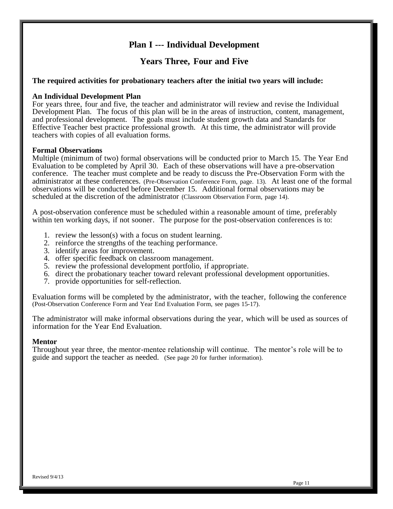## **Plan I --- Individual Development**

## **Years Three, Four and Five**

#### <span id="page-12-0"></span>**The required activities for probationary teachers after the initial two years will include:**

#### **An Individual Development Plan**

For years three, four and five, the teacher and administrator will review and revise the Individual Development Plan. The focus of this plan will be in the areas of instruction, content, management, and professional development. The goals must include student growth data and Standards for Effective Teacher best practice professional growth. At this time, the administrator will provide teachers with copies of all evaluation forms.

#### **Formal Observations**

Multiple (minimum of two) formal observations will be conducted prior to March 15. The Year End Evaluation to be completed by April 30. Each of these observations will have a pre-observation conference. The teacher must complete and be ready to discuss the Pre-Observation Form with the administrator at these conferences. (Pre-Observation Conference Form, page. 13). At least one of the formal observations will be conducted before December 15. Additional formal observations may be scheduled at the discretion of the administrator (Classroom Observation Form, page 14).

A post-observation conference must be scheduled within a reasonable amount of time, preferably within ten working days, if not sooner. The purpose for the post-observation conferences is to:

- 1. review the lesson(s) with a focus on student learning.
- 2. reinforce the strengths of the teaching performance.
- 3. identify areas for improvement.
- 4. offer specific feedback on classroom management.
- 5. review the professional development portfolio, if appropriate.
- 6. direct the probationary teacher toward relevant professional development opportunities.
- 7. provide opportunities for self-reflection.

Evaluation forms will be completed by the administrator, with the teacher, following the conference (Post-Observation Conference Form and Year End Evaluation Form, see pages 15-17).

The administrator will make informal observations during the year, which will be used as sources of information for the Year End Evaluation.

#### **Mentor**

Throughout year three, the mentor-mentee relationship will continue. The mentor's role will be to guide and support the teacher as needed. (See page 20 for further information).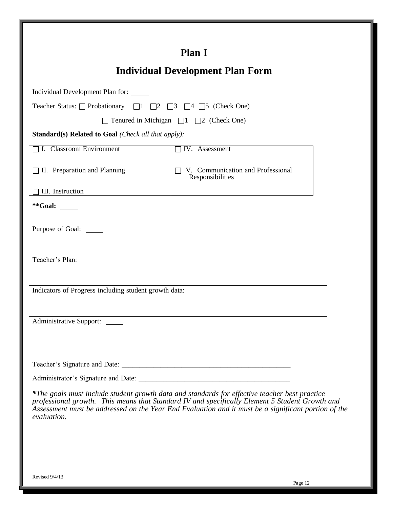<span id="page-13-0"></span>

|                                                                                              | <b>Plan I</b>                                                                                 |
|----------------------------------------------------------------------------------------------|-----------------------------------------------------------------------------------------------|
|                                                                                              |                                                                                               |
|                                                                                              | <b>Individual Development Plan Form</b>                                                       |
| Individual Development Plan for:                                                             |                                                                                               |
| Teacher Status: $\Box$ Probationary $\Box$ 1 $\Box$ 2 $\Box$ 3 $\Box$ 4 $\Box$ 5 (Check One) |                                                                                               |
|                                                                                              | $\Box$ Tenured in Michigan $\Box$ 1 $\Box$ 2 (Check One)                                      |
| <b>Standard(s) Related to Goal (Check all that apply):</b>                                   |                                                                                               |
| <b>T. Classroom Environment</b>                                                              | IV. Assessment                                                                                |
| $\Box$ II. Preparation and Planning                                                          | V. Communication and Professional<br>Responsibilities                                         |
| III. Instruction                                                                             |                                                                                               |
| **Goal: $\_\_$                                                                               |                                                                                               |
| Purpose of Goal: ______                                                                      |                                                                                               |
| Teacher's Plan:                                                                              |                                                                                               |
| Indicators of Progress including student growth data:                                        |                                                                                               |
| <b>Administrative Support:</b>                                                               |                                                                                               |
|                                                                                              |                                                                                               |
|                                                                                              |                                                                                               |
|                                                                                              | *The goals must include student growth data and standards for effective teacher best practice |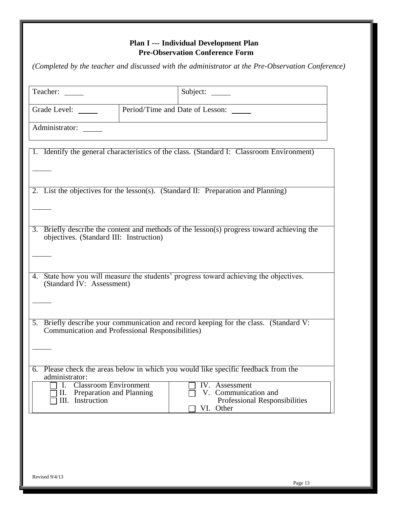## <span id="page-14-0"></span>**Plan I --- Individual Development Plan Pre-Observation Conference Form**

*(Completed by the teacher and discussed with the administrator at the Pre-Observation Conference)*

| Teacher:                                           | Subject:                                                                                             |
|----------------------------------------------------|------------------------------------------------------------------------------------------------------|
| Grade Level:                                       | Period/Time and Date of Lesson:                                                                      |
| Administrator:                                     |                                                                                                      |
|                                                    | 1. Identify the general characteristics of the class. (Standard I: Classroom Environment)            |
|                                                    |                                                                                                      |
|                                                    | 2. List the objectives for the lesson(s). (Standard II: Preparation and Planning)                    |
|                                                    |                                                                                                      |
| objectives. (Standard III: Instruction)            | 3. Briefly describe the content and methods of the lesson(s) progress toward achieving the           |
|                                                    |                                                                                                      |
| 4.<br>(Standard IV: Assessment)                    | State how you will measure the students' progress toward achieving the objectives.                   |
|                                                    |                                                                                                      |
| Communication and Professional Responsibilities)   | 5. Briefly describe your communication and record keeping for the class. (Standard V:                |
|                                                    |                                                                                                      |
| administrator:<br><b>Classroom Environment</b>     | 6. Please check the areas below in which you would like specific feedback from the<br>IV. Assessment |
| Preparation and Planning<br>П.<br>III. Instruction | V. Communication and<br>Professional Responsibilities<br>VI. Other                                   |
|                                                    |                                                                                                      |
|                                                    |                                                                                                      |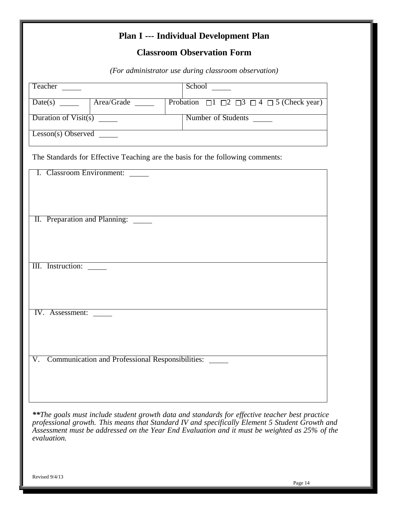## **Plan I --- Individual Development Plan**

## **Classroom Observation Form**

*(For administrator use during classroom observation)*

<span id="page-15-0"></span>

| Teacher                                                | School <u>Communication</u>                                                    |  |
|--------------------------------------------------------|--------------------------------------------------------------------------------|--|
| Date(s) ______   Area/Grade _____                      | Probation $\Box$ 1 $\Box$ 2 $\Box$ 3 $\Box$ 4 $\Box$ 5 (Check year)            |  |
|                                                        |                                                                                |  |
| Duration of Visit(s) $\frac{1}{\sqrt{1-\frac{1}{2}}}\$ | Number of Students                                                             |  |
| Lesson(s) Observed                                     |                                                                                |  |
|                                                        | The Standards for Effective Teaching are the basis for the following comments: |  |
| I. Classroom Environment:                              |                                                                                |  |
|                                                        |                                                                                |  |
|                                                        |                                                                                |  |
|                                                        |                                                                                |  |
| II. Preparation and Planning:                          |                                                                                |  |
|                                                        |                                                                                |  |
|                                                        |                                                                                |  |
| III. Instruction:                                      |                                                                                |  |
|                                                        |                                                                                |  |
|                                                        |                                                                                |  |
|                                                        |                                                                                |  |
| IV. Assessment:                                        |                                                                                |  |
|                                                        |                                                                                |  |
|                                                        |                                                                                |  |
|                                                        |                                                                                |  |
| V. Communication and Professional Responsibilities:    |                                                                                |  |
|                                                        |                                                                                |  |
|                                                        |                                                                                |  |

*\*\*The goals must include student growth data and standards for effective teacher best practice professional growth. This means that Standard IV and specifically Element 5 Student Growth and Assessment must be addressed on the Year End Evaluation and it must be weighted as 25% of the evaluation.*

Revised 9/4/13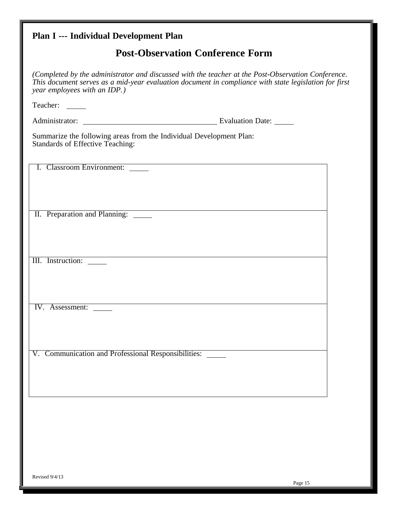## <span id="page-16-0"></span>**Plan I --- Individual Development Plan**

## **Post-Observation Conference Form**

| (Completed by the administrator and discussed with the teacher at the Post-Observation Conference.<br>This document serves as a mid-year evaluation document in compliance with state legislation for first<br>year employees with an IDP.) |  |
|---------------------------------------------------------------------------------------------------------------------------------------------------------------------------------------------------------------------------------------------|--|
| Teacher:                                                                                                                                                                                                                                    |  |
|                                                                                                                                                                                                                                             |  |
| Summarize the following areas from the Individual Development Plan:<br>Standards of Effective Teaching:                                                                                                                                     |  |
| I. Classroom Environment:                                                                                                                                                                                                                   |  |
| II. Preparation and Planning: _____                                                                                                                                                                                                         |  |
| III. Instruction:                                                                                                                                                                                                                           |  |
| IV. Assessment:                                                                                                                                                                                                                             |  |
| V. Communication and Professional Responsibilities:                                                                                                                                                                                         |  |
|                                                                                                                                                                                                                                             |  |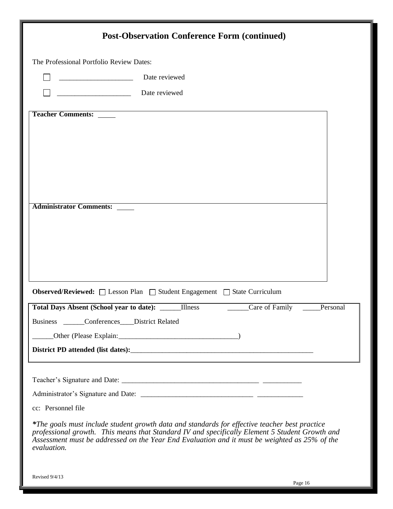| <b>Post-Observation Conference Form (continued)</b>                                                                                                                                                                                                                                                             |  |
|-----------------------------------------------------------------------------------------------------------------------------------------------------------------------------------------------------------------------------------------------------------------------------------------------------------------|--|
| The Professional Portfolio Review Dates:                                                                                                                                                                                                                                                                        |  |
| Date reviewed                                                                                                                                                                                                                                                                                                   |  |
| Date reviewed                                                                                                                                                                                                                                                                                                   |  |
| <b>Teacher Comments:</b>                                                                                                                                                                                                                                                                                        |  |
|                                                                                                                                                                                                                                                                                                                 |  |
|                                                                                                                                                                                                                                                                                                                 |  |
|                                                                                                                                                                                                                                                                                                                 |  |
|                                                                                                                                                                                                                                                                                                                 |  |
| <b>Administrator Comments:</b>                                                                                                                                                                                                                                                                                  |  |
|                                                                                                                                                                                                                                                                                                                 |  |
|                                                                                                                                                                                                                                                                                                                 |  |
|                                                                                                                                                                                                                                                                                                                 |  |
|                                                                                                                                                                                                                                                                                                                 |  |
| Observed/Reviewed: □ Lesson Plan □ Student Engagement □ State Curriculum                                                                                                                                                                                                                                        |  |
| <b>Illness</b><br>Care of Family<br><b>Total Days Absent (School year to date):</b><br>Personal                                                                                                                                                                                                                 |  |
| Business Conferences District Related                                                                                                                                                                                                                                                                           |  |
|                                                                                                                                                                                                                                                                                                                 |  |
|                                                                                                                                                                                                                                                                                                                 |  |
|                                                                                                                                                                                                                                                                                                                 |  |
|                                                                                                                                                                                                                                                                                                                 |  |
|                                                                                                                                                                                                                                                                                                                 |  |
| cc: Personnel file                                                                                                                                                                                                                                                                                              |  |
| *The goals must include student growth data and standards for effective teacher best practice<br>professional growth. This means that Standard IV and specifically Element 5 Student Growth and<br>Assessment must be addressed on the Year End Evaluation and it must be weighted as 25% of the<br>evaluation. |  |
|                                                                                                                                                                                                                                                                                                                 |  |

Revised 9/4/13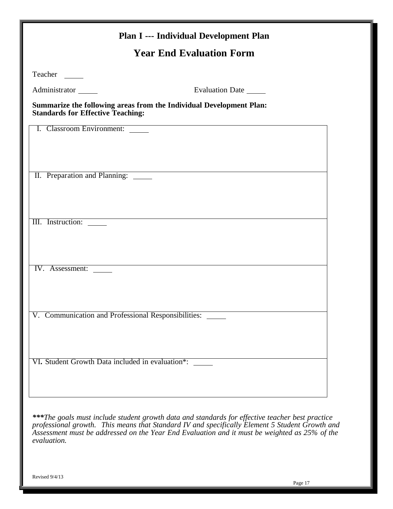<span id="page-18-0"></span>

|                                                     | <b>Year End Evaluation Form</b>                                     |  |
|-----------------------------------------------------|---------------------------------------------------------------------|--|
| Teacher                                             |                                                                     |  |
| Administrator                                       | Evaluation Date                                                     |  |
| <b>Standards for Effective Teaching:</b>            | Summarize the following areas from the Individual Development Plan: |  |
| I. Classroom Environment:                           | <u> 1989 - Johann Stoff, amerikansk politiker (d. 1989)</u>         |  |
|                                                     |                                                                     |  |
|                                                     |                                                                     |  |
| II. Preparation and Planning:                       |                                                                     |  |
|                                                     |                                                                     |  |
|                                                     |                                                                     |  |
| III. Instruction:                                   |                                                                     |  |
|                                                     |                                                                     |  |
|                                                     |                                                                     |  |
| IV. Assessment:                                     |                                                                     |  |
|                                                     |                                                                     |  |
|                                                     |                                                                     |  |
| V. Communication and Professional Responsibilities: |                                                                     |  |
|                                                     |                                                                     |  |
|                                                     |                                                                     |  |
|                                                     |                                                                     |  |
| VI. Student Growth Data included in evaluation*:    |                                                                     |  |
|                                                     |                                                                     |  |
|                                                     |                                                                     |  |

*professional growth. This means that Standard IV and specifically Element 5 Student Growth and Assessment must be addressed on the Year End Evaluation and it must be weighted as 25% of the evaluation.*

Revised 9/4/13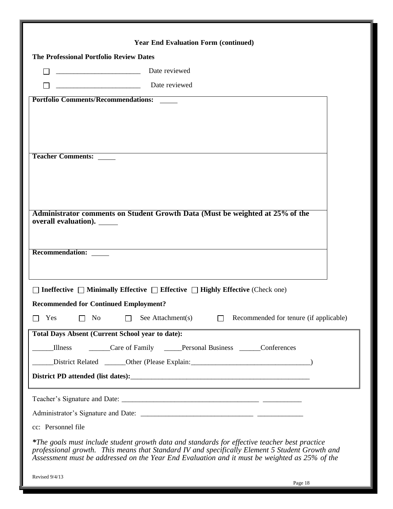<span id="page-19-0"></span>

| <b>Year End Evaluation Form (continued)</b>                                                                                                                                                     |  |
|-------------------------------------------------------------------------------------------------------------------------------------------------------------------------------------------------|--|
| <b>The Professional Portfolio Review Dates</b>                                                                                                                                                  |  |
| Date reviewed                                                                                                                                                                                   |  |
| Date reviewed                                                                                                                                                                                   |  |
| <b>Portfolio Comments/Recommendations:</b>                                                                                                                                                      |  |
|                                                                                                                                                                                                 |  |
|                                                                                                                                                                                                 |  |
|                                                                                                                                                                                                 |  |
| <b>Teacher Comments:</b>                                                                                                                                                                        |  |
|                                                                                                                                                                                                 |  |
|                                                                                                                                                                                                 |  |
|                                                                                                                                                                                                 |  |
| Administrator comments on Student Growth Data (Must be weighted at 25% of the                                                                                                                   |  |
| overall evaluation). ______                                                                                                                                                                     |  |
|                                                                                                                                                                                                 |  |
| Recommendation:                                                                                                                                                                                 |  |
|                                                                                                                                                                                                 |  |
| <b>Ineffective</b> $\Box$ Minimally Effective $\Box$ Effective $\Box$ Highly Effective (Check one)                                                                                              |  |
| <b>Recommended for Continued Employment?</b>                                                                                                                                                    |  |
| No<br>$\Box$ See Attachment(s)<br>Recommended for tenure (if applicable)<br>Yes                                                                                                                 |  |
| <b>Total Days Absent (Current School year to date):</b>                                                                                                                                         |  |
| Care of Family _____Personal Business ______Conferences<br>Illness                                                                                                                              |  |
| District Related _______Other (Please Explain: __________________________________                                                                                                               |  |
|                                                                                                                                                                                                 |  |
|                                                                                                                                                                                                 |  |
|                                                                                                                                                                                                 |  |
| cc: Personnel file                                                                                                                                                                              |  |
| *The goals must include student growth data and standards for effective teacher best practice<br>professional growth. This means that Standard IV and specifically Element 5 Student Growth and |  |
| Assessment must be addressed on the Year End Evaluation and it must be weighted as 25% of the                                                                                                   |  |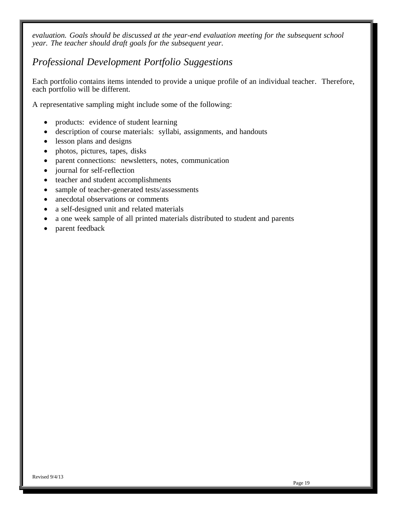*evaluation. Goals should be discussed at the year-end evaluation meeting for the subsequent school year. The teacher should draft goals for the subsequent year.*

## *Professional Development Portfolio Suggestions*

Each portfolio contains items intended to provide a unique profile of an individual teacher. Therefore, each portfolio will be different.

A representative sampling might include some of the following:

- products: evidence of student learning
- description of course materials: syllabi, assignments, and handouts
- lesson plans and designs
- photos, pictures, tapes, disks
- parent connections: newsletters, notes, communication
- journal for self-reflection
- teacher and student accomplishments
- sample of teacher-generated tests/assessments
- anecdotal observations or comments
- a self-designed unit and related materials
- a one week sample of all printed materials distributed to student and parents
- parent feedback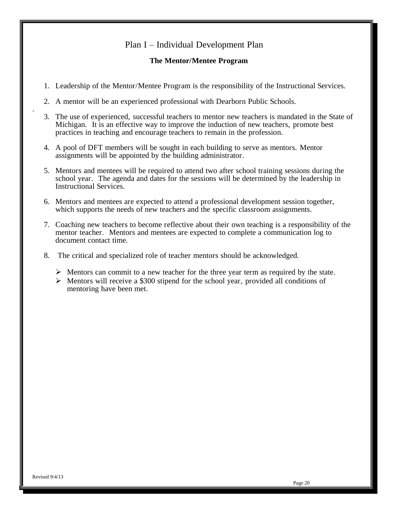### Plan I – Individual Development Plan

#### **The Mentor/Mentee Program**

- <span id="page-21-0"></span>1. Leadership of the Mentor/Mentee Program is the responsibility of the Instructional Services.
- 2. A mentor will be an experienced professional with Dearborn Public Schools.
- 3. The use of experienced, successful teachers to mentor new teachers is mandated in the State of Michigan. It is an effective way to improve the induction of new teachers, promote best practices in teaching and encourage teachers to remain in the profession.
- 4. A pool of DFT members will be sought in each building to serve as mentors. Mentor assignments will be appointed by the building administrator.
- 5. Mentors and mentees will be required to attend two after school training sessions during the school year. The agenda and dates for the sessions will be determined by the leadership in Instructional Services.
- 6. Mentors and mentees are expected to attend a professional development session together, which supports the needs of new teachers and the specific classroom assignments.
- 7. Coaching new teachers to become reflective about their own teaching is a responsibility of the mentor teacher. Mentors and mentees are expected to complete a communication log to document contact time.
- 8. The critical and specialized role of teacher mentors should be acknowledged.
	- $\triangleright$  Mentors can commit to a new teacher for the three year term as required by the state.
	- $\triangleright$  Mentors will receive a \$300 stipend for the school year, provided all conditions of mentoring have been met.

.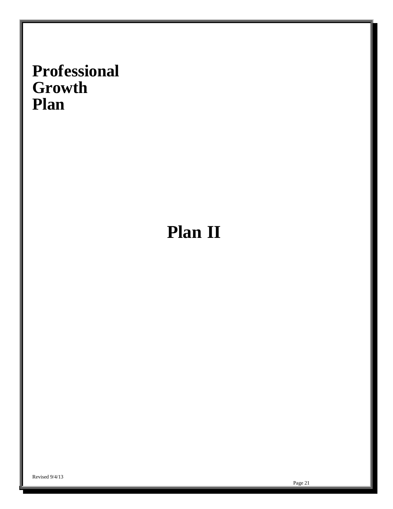# <span id="page-22-0"></span>**Professional Growth Plan**

# **Plan II**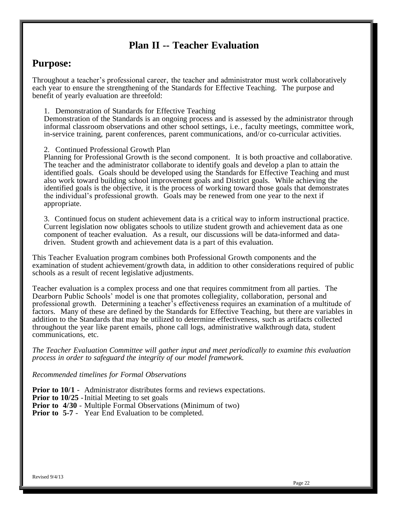## **Plan II -- Teacher Evaluation**

## <span id="page-23-0"></span>**Purpose:**

Throughout a teacher's professional career, the teacher and administrator must work collaboratively each year to ensure the strengthening of the Standards for Effective Teaching. The purpose and benefit of yearly evaluation are threefold:

1. Demonstration of Standards for Effective Teaching

Demonstration of the Standards is an ongoing process and is assessed by the administrator through informal classroom observations and other school settings, i.e., faculty meetings, committee work, in-service training, parent conferences, parent communications, and/or co-curricular activities.

#### 2. Continued Professional Growth Plan

Planning for Professional Growth is the second component. It is both proactive and collaborative. The teacher and the administrator collaborate to identify goals and develop a plan to attain the identified goals. Goals should be developed using the Standards for Effective Teaching and must also work toward building school improvement goals and District goals. While achieving the identified goals is the objective, it is the process of working toward those goals that demonstrates the individual's professional growth. Goals may be renewed from one year to the next if appropriate.

3. Continued focus on student achievement data is a critical way to inform instructional practice. Current legislation now obligates schools to utilize student growth and achievement data as one component of teacher evaluation. As a result, our discussions will be data-informed and datadriven. Student growth and achievement data is a part of this evaluation.

This Teacher Evaluation program combines both Professional Growth components and the examination of student achievement/growth data, in addition to other considerations required of public schools as a result of recent legislative adjustments.

Teacher evaluation is a complex process and one that requires commitment from all parties. The Dearborn Public Schools' model is one that promotes collegiality, collaboration, personal and professional growth. Determining a teacher's effectiveness requires an examination of a multitude of factors. Many of these are defined by the Standards for Effective Teaching, but there are variables in addition to the Standards that may be utilized to determine effectiveness, such as artifacts collected throughout the year like parent emails, phone call logs, administrative walkthrough data, student communications, etc.

*The Teacher Evaluation Committee will gather input and meet periodically to examine this evaluation process in order to safeguard the integrity of our model framework.* 

#### *Recommended timelines for Formal Observations*

**Prior to 10/1** - Administrator distributes forms and reviews expectations.

- **Prior to 10/25** Initial Meeting to set goals
- **Prior to 4/30** Multiple Formal Observations (Minimum of two)
- **Prior to 5-7** Year End Evaluation to be completed.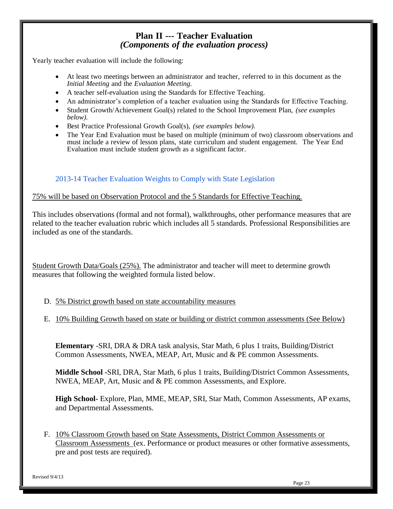### **Plan II --- Teacher Evaluation** *(Components of the evaluation process)*

Yearly teacher evaluation will include the following:

- At least two meetings between an administrator and teacher, referred to in this document as the *Initial Meeting* and the *Evaluation Meeting*.
- A teacher self-evaluation using the Standards for Effective Teaching.
- An administrator's completion of a teacher evaluation using the Standards for Effective Teaching.
- Student Growth/Achievement Goal(s) related to the School Improvement Plan, *(see examples below).*
- Best Practice Professional Growth Goal(s), *(see examples below).*
- The Year End Evaluation must be based on multiple (minimum of two) classroom observations and must include a review of lesson plans, state curriculum and student engagement. The Year End Evaluation must include student growth as a significant factor.

### 2013-14 Teacher Evaluation Weights to Comply with State Legislation

#### 75% will be based on Observation Protocol and the 5 Standards for Effective Teaching.

This includes observations (formal and not formal), walkthroughs, other performance measures that are related to the teacher evaluation rubric which includes all 5 standards. Professional Responsibilities are included as one of the standards.

Student Growth Data/Goals (25%). The administrator and teacher will meet to determine growth measures that following the weighted formula listed below.

- D. 5% District growth based on state accountability measures
- E. 10% Building Growth based on state or building or district common assessments (See Below)

**Elementary** -SRI, DRA & DRA task analysis, Star Math, 6 plus 1 traits, Building/District Common Assessments, NWEA, MEAP, Art, Music and & PE common Assessments.

**Middle School -**SRI, DRA, Star Math, 6 plus 1 traits, Building/District Common Assessments, NWEA, MEAP, Art, Music and & PE common Assessments, and Explore.

**High School-** Explore, Plan, MME, MEAP, SRI, Star Math, Common Assessments, AP exams, and Departmental Assessments.

F. 10% Classroom Growth based on State Assessments, District Common Assessments or Classroom Assessments (ex. Performance or product measures or other formative assessments, pre and post tests are required).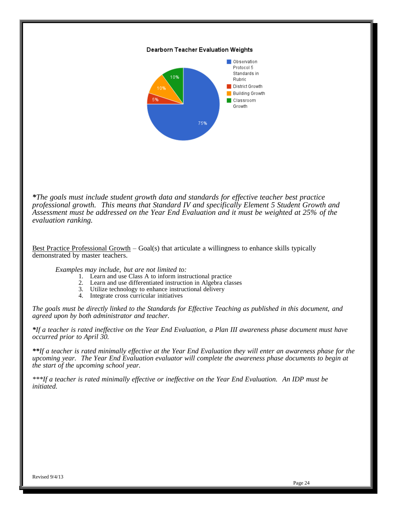#### Dearborn Teacher Evaluation Weights



*\*The goals must include student growth data and standards for effective teacher best practice professional growth. This means that Standard IV and specifically Element 5 Student Growth and Assessment must be addressed on the Year End Evaluation and it must be weighted at 25% of the evaluation ranking.*

Best Practice Professional Growth – Goal(s) that articulate a willingness to enhance skills typically demonstrated by master teachers.

*Examples may include, but are not limited to:*

- 1. Learn and use Class A to inform instructional practice
- 2. Learn and use differentiated instruction in Algebra classes
- 3. Utilize technology to enhance instructional delivery
- 4. Integrate cross curricular initiatives

*The goals must be directly linked to the Standards for Effective Teaching as published in this document, and agreed upon by both administrator and teacher.*

*\*If a teacher is rated ineffective on the Year End Evaluation, a Plan III awareness phase document must have occurred prior to April 30.*

*\*\*If a teacher is rated minimally effective at the Year End Evaluation they will enter an awareness phase for the upcoming year. The Year End Evaluation evaluator will complete the awareness phase documents to begin at the start of the upcoming school year.*

*\*\*\*If a teacher is rated minimally effective or ineffective on the Year End Evaluation. An IDP must be initiated.*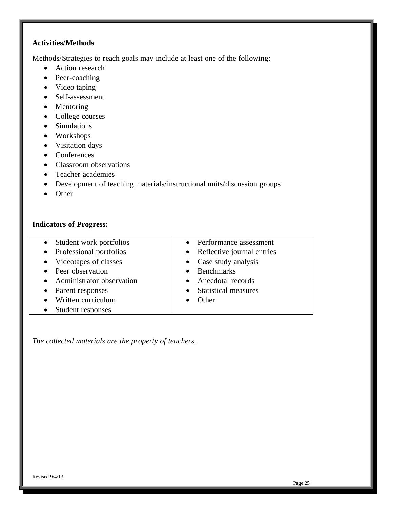### **Activities/Methods**

Methods/Strategies to reach goals may include at least one of the following:

- Action research
- Peer-coaching
- Video taping
- Self-assessment
- Mentoring
- College courses
- Simulations
- Workshops
- Visitation days
- Conferences
- Classroom observations
- Teacher academies
- Development of teaching materials/instructional units/discussion groups
- Other

#### **Indicators of Progress:**

- Student work portfolios • Professional portfolios
- Videotapes of classes
- Peer observation
- Administrator observation
- Parent responses
- Written curriculum
- Student responses
- Performance assessment
- Reflective journal entries
- Case study analysis
- Benchmarks
- Anecdotal records
- Statistical measures
- Other

*The collected materials are the property of teachers.*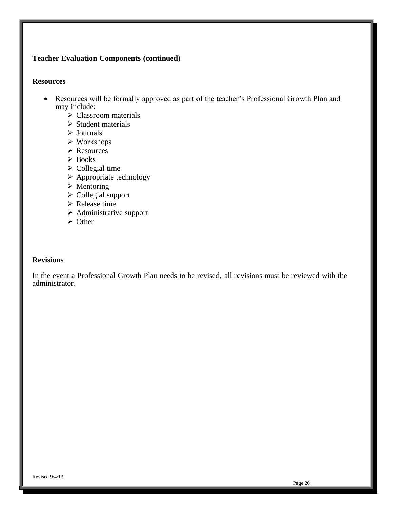## **Teacher Evaluation Components (continued)**

#### **Resources**

- Resources will be formally approved as part of the teacher's Professional Growth Plan and may include:
	- Classroom materials
	- $\triangleright$  Student materials
	- $\triangleright$  Journals
	- Workshops
	- Resources
	- Books
	- $\triangleright$  Collegial time
	- $\triangleright$  Appropriate technology
	- $\triangleright$  Mentoring
	- $\triangleright$  Collegial support
	- $\triangleright$  Release time
	- $\triangleright$  Administrative support
	- $\triangleright$  Other

### **Revisions**

In the event a Professional Growth Plan needs to be revised, all revisions must be reviewed with the administrator.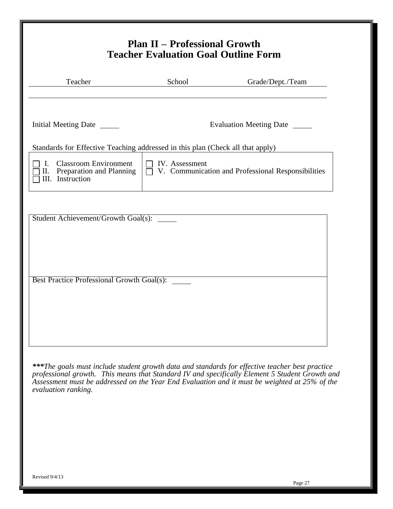| Teacher                                                                                  | School                | Grade/Dept./Team                                                                                                                                                                                                                                                                                   |
|------------------------------------------------------------------------------------------|-----------------------|----------------------------------------------------------------------------------------------------------------------------------------------------------------------------------------------------------------------------------------------------------------------------------------------------|
| Initial Meeting Date _______                                                             |                       | Evaluation Meeting Date                                                                                                                                                                                                                                                                            |
| Standards for Effective Teaching addressed in this plan (Check all that apply)           |                       |                                                                                                                                                                                                                                                                                                    |
| <b>Classroom Environment</b><br>Ι.<br>Preparation and Planning<br>П.<br>III. Instruction | $\Box$ IV. Assessment | $\Box$ V. Communication and Professional Responsibilities                                                                                                                                                                                                                                          |
|                                                                                          |                       |                                                                                                                                                                                                                                                                                                    |
| Student Achievement/Growth Goal(s): _____                                                |                       |                                                                                                                                                                                                                                                                                                    |
|                                                                                          |                       |                                                                                                                                                                                                                                                                                                    |
|                                                                                          |                       |                                                                                                                                                                                                                                                                                                    |
|                                                                                          |                       |                                                                                                                                                                                                                                                                                                    |
| Best Practice Professional Growth Goal(s):                                               |                       |                                                                                                                                                                                                                                                                                                    |
|                                                                                          |                       |                                                                                                                                                                                                                                                                                                    |
|                                                                                          |                       |                                                                                                                                                                                                                                                                                                    |
|                                                                                          |                       |                                                                                                                                                                                                                                                                                                    |
|                                                                                          |                       |                                                                                                                                                                                                                                                                                                    |
| evaluation ranking.                                                                      |                       | ***The goals must include student growth data and standards for effective teacher best practice<br>professional growth. This means that Standard IV and specifically Element 5 Student Growth and<br>Assessment must be addressed on the Year End Evaluation and it must be weighted at 25% of the |
|                                                                                          |                       |                                                                                                                                                                                                                                                                                                    |
|                                                                                          |                       |                                                                                                                                                                                                                                                                                                    |
|                                                                                          |                       |                                                                                                                                                                                                                                                                                                    |
|                                                                                          |                       |                                                                                                                                                                                                                                                                                                    |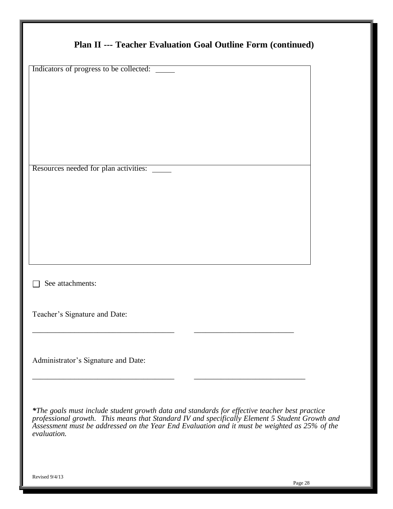| Indicators of progress to be collected: ______                                                                                                                                                                                                                                                                  |  |
|-----------------------------------------------------------------------------------------------------------------------------------------------------------------------------------------------------------------------------------------------------------------------------------------------------------------|--|
|                                                                                                                                                                                                                                                                                                                 |  |
|                                                                                                                                                                                                                                                                                                                 |  |
| Resources needed for plan activities:                                                                                                                                                                                                                                                                           |  |
|                                                                                                                                                                                                                                                                                                                 |  |
|                                                                                                                                                                                                                                                                                                                 |  |
|                                                                                                                                                                                                                                                                                                                 |  |
| See attachments:                                                                                                                                                                                                                                                                                                |  |
| Teacher's Signature and Date:                                                                                                                                                                                                                                                                                   |  |
|                                                                                                                                                                                                                                                                                                                 |  |
| Administrator's Signature and Date:                                                                                                                                                                                                                                                                             |  |
| *The goals must include student growth data and standards for effective teacher best practice<br>professional growth. This means that Standard IV and specifically Element 5 Student Growth and<br>Assessment must be addressed on the Year End Evaluation and it must be weighted as 25% of the<br>evaluation. |  |
|                                                                                                                                                                                                                                                                                                                 |  |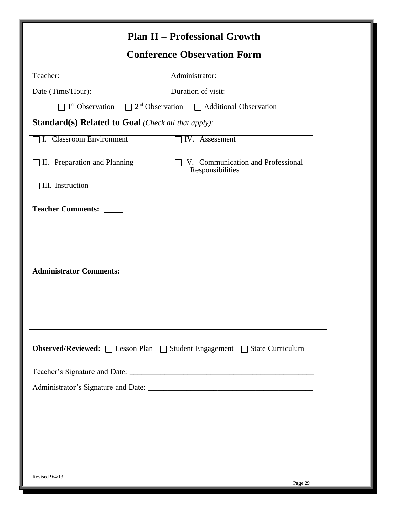|                                                            | <b>Plan II – Professional Growth</b><br><b>Conference Observation Form</b>                          |
|------------------------------------------------------------|-----------------------------------------------------------------------------------------------------|
|                                                            |                                                                                                     |
|                                                            |                                                                                                     |
|                                                            | $\Box$ 1 <sup>st</sup> Observation $\Box$ 2 <sup>nd</sup> Observation $\Box$ Additional Observation |
| <b>Standard(s) Related to Goal (Check all that apply):</b> |                                                                                                     |
| <b>I.</b> Classroom Environment                            | <b>TV.</b> Assessment                                                                               |
| $\Box$ II. Preparation and Planning                        | V. Communication and Professional<br>Responsibilities                                               |
| III. Instruction                                           |                                                                                                     |
| <b>Administrator Comments:</b>                             |                                                                                                     |
|                                                            | Observed/Reviewed: □ Lesson Plan □ Student Engagement □ State Curriculum                            |
|                                                            |                                                                                                     |
|                                                            |                                                                                                     |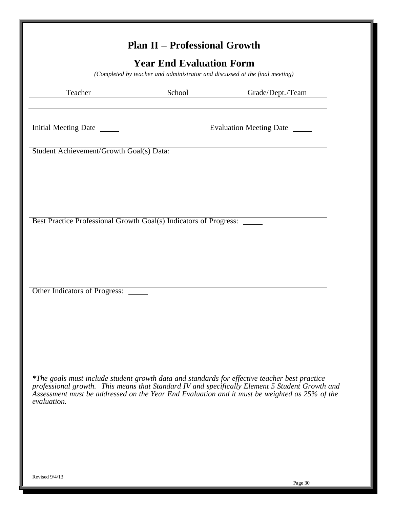<span id="page-31-0"></span>

| <b>Plan II - Professional Growth</b><br><b>Year End Evaluation Form</b><br>(Completed by teacher and administrator and discussed at the final meeting) |        |                                |  |  |
|--------------------------------------------------------------------------------------------------------------------------------------------------------|--------|--------------------------------|--|--|
| Teacher                                                                                                                                                | School | Grade/Dept./Team               |  |  |
| Initial Meeting Date ______                                                                                                                            |        | Evaluation Meeting Date ______ |  |  |
| Student Achievement/Growth Goal(s) Data: _____                                                                                                         |        |                                |  |  |
|                                                                                                                                                        |        |                                |  |  |
|                                                                                                                                                        |        |                                |  |  |
| Best Practice Professional Growth Goal(s) Indicators of Progress: _____                                                                                |        |                                |  |  |
|                                                                                                                                                        |        |                                |  |  |
|                                                                                                                                                        |        |                                |  |  |
|                                                                                                                                                        |        |                                |  |  |
| Other Indicators of Progress:                                                                                                                          |        |                                |  |  |
|                                                                                                                                                        |        |                                |  |  |
|                                                                                                                                                        |        |                                |  |  |
|                                                                                                                                                        |        |                                |  |  |

*\*The goals must include student growth data and standards for effective teacher best practice professional growth. This means that Standard IV and specifically Element 5 Student Growth and Assessment must be addressed on the Year End Evaluation and it must be weighted as 25% of the evaluation.*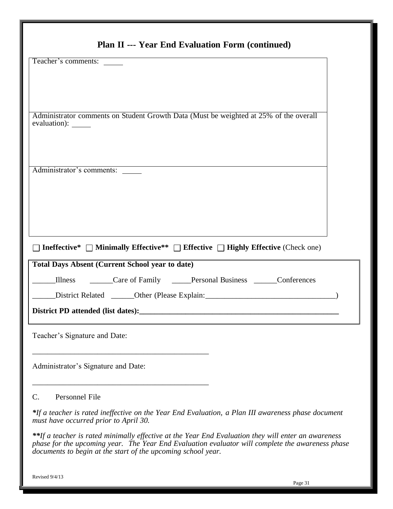| Teacher's comments:                                                                                                                         |  |
|---------------------------------------------------------------------------------------------------------------------------------------------|--|
|                                                                                                                                             |  |
|                                                                                                                                             |  |
|                                                                                                                                             |  |
| Administrator comments on Student Growth Data (Must be weighted at 25% of the overall<br>evaluation): _____                                 |  |
|                                                                                                                                             |  |
| Administrator's comments:                                                                                                                   |  |
|                                                                                                                                             |  |
|                                                                                                                                             |  |
|                                                                                                                                             |  |
|                                                                                                                                             |  |
| Ineffective* $\Box$ Minimally Effective** $\Box$ Effective $\Box$ Highly Effective (Check one)                                              |  |
| <b>Total Days Absent (Current School year to date)</b>                                                                                      |  |
| Care of Family _____Personal Business ______Conferences<br>Illness                                                                          |  |
| District Related _______Other (Please Explain: _________________________________                                                            |  |
| District PD attended (list dates):                                                                                                          |  |
|                                                                                                                                             |  |
| Teacher's Signature and Date:                                                                                                               |  |
|                                                                                                                                             |  |
| Administrator's Signature and Date:                                                                                                         |  |
|                                                                                                                                             |  |
| Personnel File<br>C.                                                                                                                        |  |
|                                                                                                                                             |  |
| *If a teacher is rated ineffective on the Year End Evaluation, a Plan III awareness phase document<br>must have occurred prior to April 30. |  |

Revised 9/4/13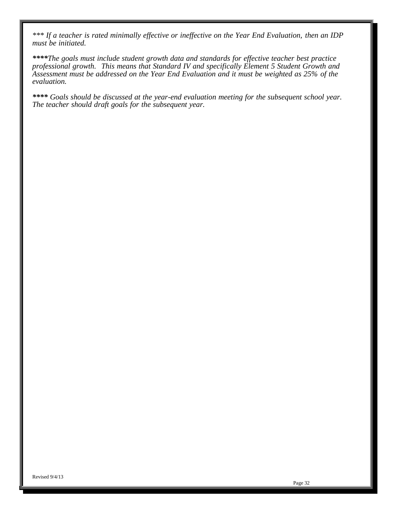*\*\*\* If a teacher is rated minimally effective or ineffective on the Year End Evaluation, then an IDP must be initiated.*

*\*\*\*\*The goals must include student growth data and standards for effective teacher best practice professional growth. This means that Standard IV and specifically Element 5 Student Growth and Assessment must be addressed on the Year End Evaluation and it must be weighted as 25% of the evaluation.*

*\*\*\*\* Goals should be discussed at the year-end evaluation meeting for the subsequent school year. The teacher should draft goals for the subsequent year.*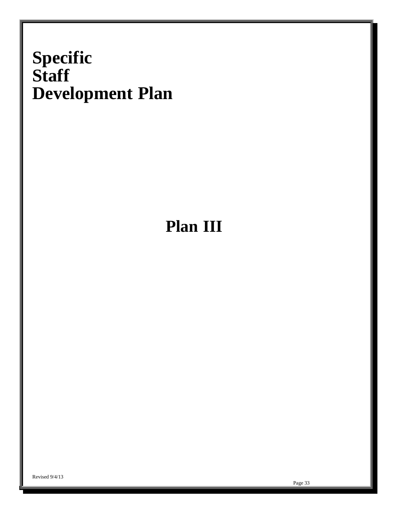# **Specific Staff Development Plan**

# <span id="page-34-0"></span>**Plan III**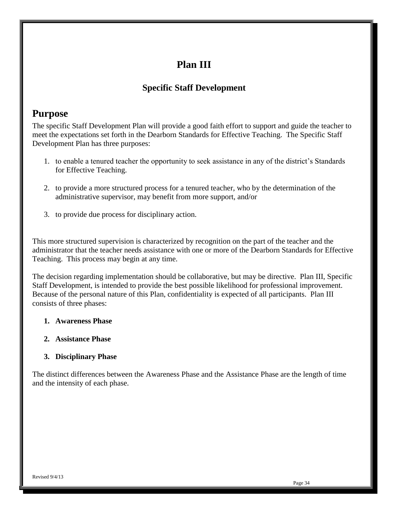## **Plan III**

## **Specific Staff Development**

## <span id="page-35-0"></span>**Purpose**

The specific Staff Development Plan will provide a good faith effort to support and guide the teacher to meet the expectations set forth in the Dearborn Standards for Effective Teaching. The Specific Staff Development Plan has three purposes:

- 1. to enable a tenured teacher the opportunity to seek assistance in any of the district's Standards for Effective Teaching.
- 2. to provide a more structured process for a tenured teacher, who by the determination of the administrative supervisor, may benefit from more support, and/or
- 3. to provide due process for disciplinary action.

This more structured supervision is characterized by recognition on the part of the teacher and the administrator that the teacher needs assistance with one or more of the Dearborn Standards for Effective Teaching. This process may begin at any time.

The decision regarding implementation should be collaborative, but may be directive. Plan III, Specific Staff Development, is intended to provide the best possible likelihood for professional improvement. Because of the personal nature of this Plan, confidentiality is expected of all participants. Plan III consists of three phases:

### **1. Awareness Phase**

### **2. Assistance Phase**

### **3. Disciplinary Phase**

The distinct differences between the Awareness Phase and the Assistance Phase are the length of time and the intensity of each phase.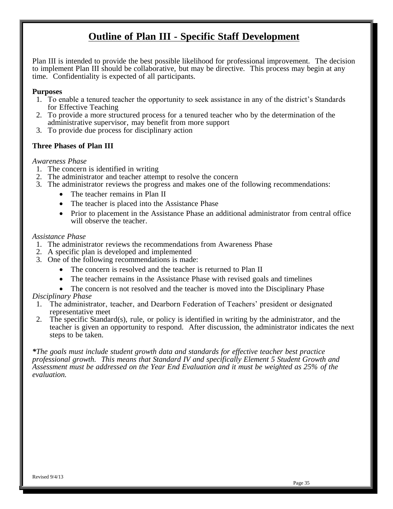## **Outline of Plan III - Specific Staff Development**

<span id="page-36-0"></span>Plan III is intended to provide the best possible likelihood for professional improvement. The decision to implement Plan III should be collaborative, but may be directive. This process may begin at any time. Confidentiality is expected of all participants.

#### **Purposes**

- 1. To enable a tenured teacher the opportunity to seek assistance in any of the district's Standards for Effective Teaching
- 2. To provide a more structured process for a tenured teacher who by the determination of the administrative supervisor, may benefit from more support
- 3. To provide due process for disciplinary action

#### **Three Phases of Plan III**

#### *Awareness Phase*

- 1. The concern is identified in writing
- 2. The administrator and teacher attempt to resolve the concern
- 3. The administrator reviews the progress and makes one of the following recommendations:
	- The teacher remains in Plan II
	- The teacher is placed into the Assistance Phase
	- Prior to placement in the Assistance Phase an additional administrator from central office will observe the teacher.

#### *Assistance Phase*

- 1. The administrator reviews the recommendations from Awareness Phase
- 2. A specific plan is developed and implemented
- 3. One of the following recommendations is made:
	- The concern is resolved and the teacher is returned to Plan II
	- The teacher remains in the Assistance Phase with revised goals and timelines
	- The concern is not resolved and the teacher is moved into the Disciplinary Phase

#### *Disciplinary Phase*

- 1. The administrator, teacher, and Dearborn Federation of Teachers' president or designated representative meet
- 2. The specific Standard(s), rule, or policy is identified in writing by the administrator, and the teacher is given an opportunity to respond. After discussion, the administrator indicates the next steps to be taken.

*\*The goals must include student growth data and standards for effective teacher best practice professional growth. This means that Standard IV and specifically Element 5 Student Growth and Assessment must be addressed on the Year End Evaluation and it must be weighted as 25% of the evaluation.*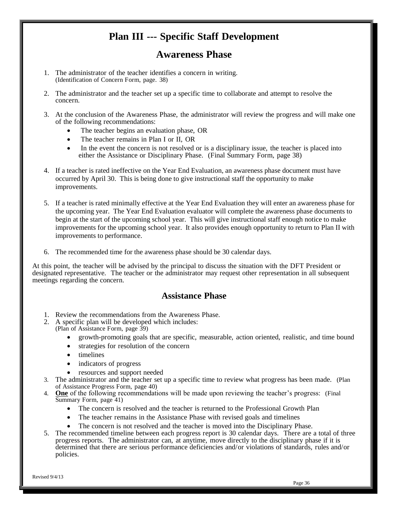## **Plan III --- Specific Staff Development**

## **Awareness Phase**

- <span id="page-37-0"></span>1. The administrator of the teacher identifies a concern in writing. (Identification of Concern Form, page. 38)
- 2. The administrator and the teacher set up a specific time to collaborate and attempt to resolve the concern.
- 3. At the conclusion of the Awareness Phase, the administrator will review the progress and will make one of the following recommendations:
	- The teacher begins an evaluation phase, OR
	- The teacher remains in Plan I or II, OR
	- In the event the concern is not resolved or is a disciplinary issue, the teacher is placed into either the Assistance or Disciplinary Phase. (Final Summary Form, page 38)
- 4. If a teacher is rated ineffective on the Year End Evaluation, an awareness phase document must have occurred by April 30. This is being done to give instructional staff the opportunity to make improvements.
- 5. If a teacher is rated minimally effective at the Year End Evaluation they will enter an awareness phase for the upcoming year. The Year End Evaluation evaluator will complete the awareness phase documents to begin at the start of the upcoming school year. This will give instructional staff enough notice to make improvements for the upcoming school year. It also provides enough opportunity to return to Plan II with improvements to performance.
- 6. The recommended time for the awareness phase should be 30 calendar days.

<span id="page-37-1"></span>At this point, the teacher will be advised by the principal to discuss the situation with the DFT President or designated representative. The teacher or the administrator may request other representation in all subsequent meetings regarding the concern.

#### **Assistance Phase**

- 1. Review the recommendations from the Awareness Phase.
- 2. A specific plan will be developed which includes:
	- (Plan of Assistance Form, page 39)
		- growth-promoting goals that are specific, measurable, action oriented, realistic, and time bound
			- strategies for resolution of the concern
			- timelines
			- indicators of progress
			- resources and support needed
- 3. The administrator and the teacher set up a specific time to review what progress has been made. (Plan of Assistance Progress Form, page 40)
- 4. **One** of the following recommendations will be made upon reviewing the teacher's progress: (Final Summary Form, page 41)
	- The concern is resolved and the teacher is returned to the Professional Growth Plan
	- The teacher remains in the Assistance Phase with revised goals and timelines
	- The concern is not resolved and the teacher is moved into the Disciplinary Phase.
- 5. The recommended timeline between each progress report is 30 calendar days. There are a total of three progress reports. The administrator can, at anytime, move directly to the disciplinary phase if it is determined that there are serious performance deficiencies and/or violations of standards, rules and/or policies.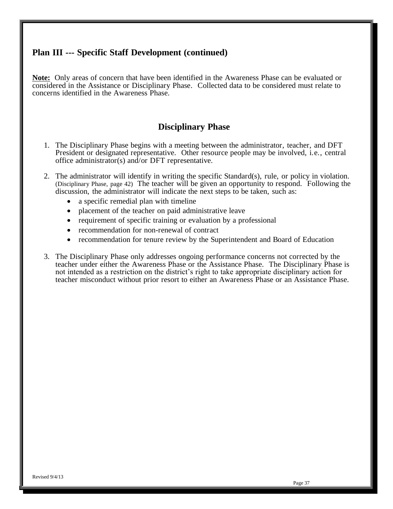## **Plan III --- Specific Staff Development (continued)**

**Note:** Only areas of concern that have been identified in the Awareness Phase can be evaluated or considered in the Assistance or Disciplinary Phase. Collected data to be considered must relate to concerns identified in the Awareness Phase.

### **Disciplinary Phase**

- <span id="page-38-0"></span>1. The Disciplinary Phase begins with a meeting between the administrator, teacher, and DFT President or designated representative. Other resource people may be involved, i.e., central office administrator(s) and/or DFT representative.
- 2. The administrator will identify in writing the specific Standard(s), rule, or policy in violation. (Disciplinary Phase, page 42) The teacher will be given an opportunity to respond. Following the discussion, the administrator will indicate the next steps to be taken, such as:
	- a specific remedial plan with timeline
	- placement of the teacher on paid administrative leave
	- requirement of specific training or evaluation by a professional
	- recommendation for non-renewal of contract
	- recommendation for tenure review by the Superintendent and Board of Education
- 3. The Disciplinary Phase only addresses ongoing performance concerns not corrected by the teacher under either the Awareness Phase or the Assistance Phase. The Disciplinary Phase is not intended as a restriction on the district's right to take appropriate disciplinary action for teacher misconduct without prior resort to either an Awareness Phase or an Assistance Phase.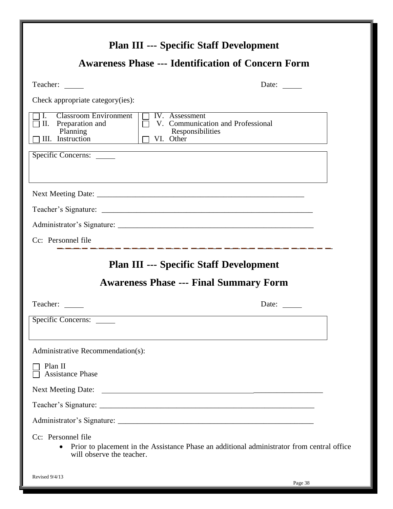<span id="page-39-1"></span><span id="page-39-0"></span>

| <b>Plan III --- Specific Staff Development</b>                                                                                                                             |                                                                                                                  |
|----------------------------------------------------------------------------------------------------------------------------------------------------------------------------|------------------------------------------------------------------------------------------------------------------|
| <b>Awareness Phase --- Identification of Concern Form</b>                                                                                                                  |                                                                                                                  |
| Teacher: _____                                                                                                                                                             | Date: $\_\_$                                                                                                     |
| Check appropriate category(ies):                                                                                                                                           |                                                                                                                  |
| <b>Classroom Environment</b><br>$\overline{\Box}$ IV. Assessment<br>$\mathbf{I}$ .<br>II. Preparation and<br>Planning<br>Responsibilities<br>III. Instruction<br>VI. Other | V. Communication and Professional                                                                                |
| Specific Concerns:                                                                                                                                                         |                                                                                                                  |
|                                                                                                                                                                            |                                                                                                                  |
|                                                                                                                                                                            |                                                                                                                  |
|                                                                                                                                                                            |                                                                                                                  |
|                                                                                                                                                                            |                                                                                                                  |
| Cc: Personnel file                                                                                                                                                         | .<br>An an an antarctor and an antarctor and antarctor and an antarctor and an antarctor and an antarctor and an |
| <b>Plan III --- Specific Staff Development</b>                                                                                                                             |                                                                                                                  |
| <b>Awareness Phase --- Final Summary Form</b>                                                                                                                              |                                                                                                                  |
| Teacher:                                                                                                                                                                   | Date:                                                                                                            |
| Specific Concerns:                                                                                                                                                         |                                                                                                                  |
|                                                                                                                                                                            |                                                                                                                  |
| Administrative Recommendation(s):                                                                                                                                          |                                                                                                                  |
| Plan II<br><b>Assistance Phase</b>                                                                                                                                         |                                                                                                                  |
| <b>Next Meeting Date:</b>                                                                                                                                                  |                                                                                                                  |
|                                                                                                                                                                            |                                                                                                                  |
|                                                                                                                                                                            |                                                                                                                  |
| Cc: Personnel file<br>$\bullet$<br>will observe the teacher.                                                                                                               | Prior to placement in the Assistance Phase an additional administrator from central office                       |
| Revised 9/4/13                                                                                                                                                             |                                                                                                                  |

Page 38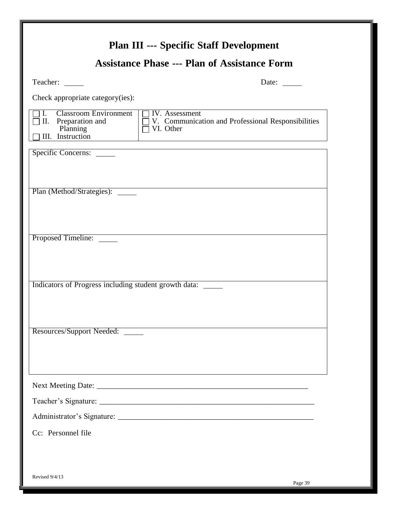<span id="page-40-0"></span>

|                                                                                           | <b>Assistance Phase --- Plan of Assistance Form</b>                                      |
|-------------------------------------------------------------------------------------------|------------------------------------------------------------------------------------------|
| Teacher:                                                                                  | Date:                                                                                    |
| Check appropriate category(ies):                                                          |                                                                                          |
| <b>Classroom Environment</b><br>Ι.<br>II. Preparation and<br>Planning<br>III. Instruction | <b>IV.</b> Assessment<br>V. Communication and Professional Responsibilities<br>VI. Other |
| Specific Concerns:                                                                        | <u> 1989 - Johann Barn, fransk politik (d. 1989)</u>                                     |
|                                                                                           |                                                                                          |
| Plan (Method/Strategies): ______                                                          |                                                                                          |
|                                                                                           |                                                                                          |
|                                                                                           |                                                                                          |
| Proposed Timeline:                                                                        |                                                                                          |
|                                                                                           |                                                                                          |
|                                                                                           |                                                                                          |
| Indicators of Progress including student growth data: _____                               |                                                                                          |
|                                                                                           |                                                                                          |
|                                                                                           |                                                                                          |
| Resources/Support Needed:                                                                 |                                                                                          |
|                                                                                           |                                                                                          |
|                                                                                           |                                                                                          |
|                                                                                           |                                                                                          |
|                                                                                           |                                                                                          |
|                                                                                           |                                                                                          |
| Cc: Personnel file                                                                        |                                                                                          |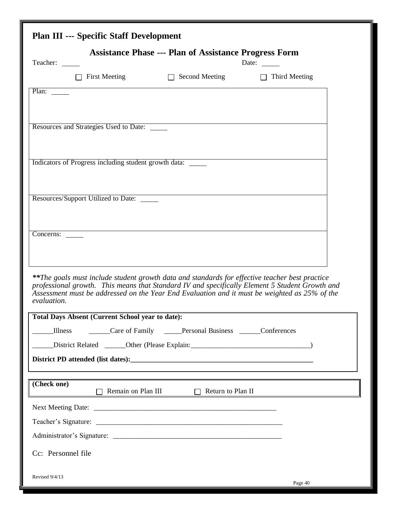<span id="page-41-0"></span>

|                                                              | <b>Plan III --- Specific Staff Development</b>          |                                                                                                |                                                                                                                                                                                                 |  |  |  |
|--------------------------------------------------------------|---------------------------------------------------------|------------------------------------------------------------------------------------------------|-------------------------------------------------------------------------------------------------------------------------------------------------------------------------------------------------|--|--|--|
| <b>Assistance Phase --- Plan of Assistance Progress Form</b> |                                                         |                                                                                                |                                                                                                                                                                                                 |  |  |  |
| Teacher:                                                     |                                                         |                                                                                                | Date: $\frac{1}{\sqrt{1-\frac{1}{2}}\sqrt{1-\frac{1}{2}}\left(\frac{1}{2}-\frac{1}{2}\right)}$                                                                                                  |  |  |  |
|                                                              | <b>First Meeting</b>                                    | $\Box$ Second Meeting                                                                          | $\Box$ Third Meeting                                                                                                                                                                            |  |  |  |
| Plan:                                                        |                                                         |                                                                                                |                                                                                                                                                                                                 |  |  |  |
|                                                              | Resources and Strategies Used to Date:                  |                                                                                                |                                                                                                                                                                                                 |  |  |  |
|                                                              | Indicators of Progress including student growth data:   |                                                                                                |                                                                                                                                                                                                 |  |  |  |
|                                                              | Resources/Support Utilized to Date:                     |                                                                                                |                                                                                                                                                                                                 |  |  |  |
| Concerns:                                                    |                                                         |                                                                                                |                                                                                                                                                                                                 |  |  |  |
| evaluation.                                                  |                                                         | **The goals must include student growth data and standards for effective teacher best practice | professional growth. This means that Standard IV and specifically Element 5 Student Growth and<br>Assessment must be addressed on the Year End Evaluation and it must be weighted as 25% of the |  |  |  |
|                                                              | <b>Total Days Absent (Current School year to date):</b> |                                                                                                |                                                                                                                                                                                                 |  |  |  |
| <b>Illness</b>                                               |                                                         | Care of Family <u>Care of Family</u> Personal Business Conferences                             |                                                                                                                                                                                                 |  |  |  |
|                                                              |                                                         | District Related _______Other (Please Explain: __________________________________              |                                                                                                                                                                                                 |  |  |  |
|                                                              |                                                         |                                                                                                |                                                                                                                                                                                                 |  |  |  |
| (Check one)                                                  |                                                         | Remain on Plan III Return to Plan II                                                           |                                                                                                                                                                                                 |  |  |  |
|                                                              |                                                         |                                                                                                |                                                                                                                                                                                                 |  |  |  |
|                                                              |                                                         |                                                                                                |                                                                                                                                                                                                 |  |  |  |
|                                                              |                                                         |                                                                                                |                                                                                                                                                                                                 |  |  |  |
| Cc: Personnel file                                           |                                                         |                                                                                                |                                                                                                                                                                                                 |  |  |  |
| Revised 9/4/13                                               |                                                         |                                                                                                | Page 40                                                                                                                                                                                         |  |  |  |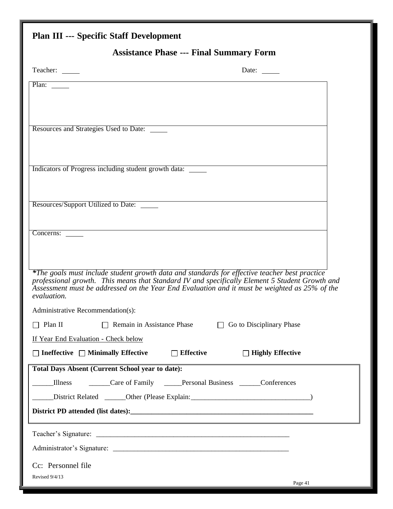## <span id="page-42-0"></span>**Plan III --- Specific Staff Development**

## **Assistance Phase --- Final Summary Form**

| Teacher:                                                    | Date: $\qquad \qquad$                                                                                                                                                                                                                                                                            |
|-------------------------------------------------------------|--------------------------------------------------------------------------------------------------------------------------------------------------------------------------------------------------------------------------------------------------------------------------------------------------|
| Plan:                                                       |                                                                                                                                                                                                                                                                                                  |
|                                                             |                                                                                                                                                                                                                                                                                                  |
| Resources and Strategies Used to Date:                      |                                                                                                                                                                                                                                                                                                  |
|                                                             |                                                                                                                                                                                                                                                                                                  |
| Indicators of Progress including student growth data: _____ |                                                                                                                                                                                                                                                                                                  |
|                                                             |                                                                                                                                                                                                                                                                                                  |
| Resources/Support Utilized to Date:                         |                                                                                                                                                                                                                                                                                                  |
|                                                             |                                                                                                                                                                                                                                                                                                  |
| Concerns:                                                   |                                                                                                                                                                                                                                                                                                  |
|                                                             |                                                                                                                                                                                                                                                                                                  |
| evaluation.                                                 | *The goals must include student growth data and standards for effective teacher best practice<br>professional growth. This means that Standard IV and specifically Element 5 Student Growth and<br>Assessment must be addressed on the Year End Evaluation and it must be weighted as 25% of the |
| Administrative Recommendation(s):                           |                                                                                                                                                                                                                                                                                                  |
| Plan II                                                     | $\Box$ Remain in Assistance Phase<br>Go to Disciplinary Phase<br>$\Box$                                                                                                                                                                                                                          |
| If Year End Evaluation - Check below                        |                                                                                                                                                                                                                                                                                                  |
| Ineffective $\Box$ Minimally Effective                      | $\Box$ Effective<br>$\Box$ Highly Effective                                                                                                                                                                                                                                                      |
| <b>Total Days Absent (Current School year to date):</b>     |                                                                                                                                                                                                                                                                                                  |
| <b>Illness</b>                                              | Care of Family _____Personal Business ______Conferences                                                                                                                                                                                                                                          |
|                                                             | District Related _______Other (Please Explain: __________________________________                                                                                                                                                                                                                |
|                                                             |                                                                                                                                                                                                                                                                                                  |
|                                                             |                                                                                                                                                                                                                                                                                                  |
|                                                             |                                                                                                                                                                                                                                                                                                  |
| Cc: Personnel file                                          |                                                                                                                                                                                                                                                                                                  |
| Revised 9/4/13                                              | Page 41                                                                                                                                                                                                                                                                                          |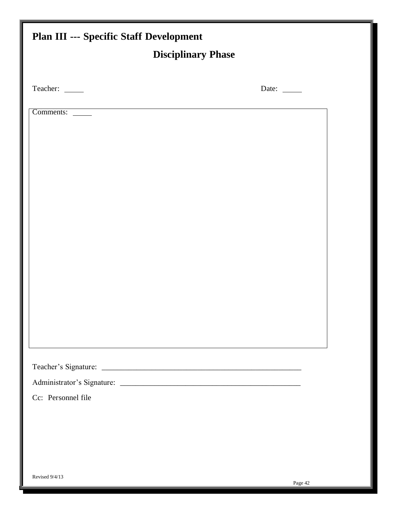<span id="page-43-0"></span>

| <b>Plan III --- Specific Staff Development</b> |         |
|------------------------------------------------|---------|
| <b>Disciplinary Phase</b>                      |         |
|                                                |         |
| Teacher: ______                                | Date:   |
| Comments:                                      |         |
|                                                |         |
|                                                |         |
|                                                |         |
|                                                |         |
|                                                |         |
|                                                |         |
|                                                |         |
|                                                |         |
|                                                |         |
|                                                |         |
|                                                |         |
|                                                |         |
|                                                |         |
|                                                |         |
|                                                |         |
|                                                |         |
| Cc: Personnel file                             |         |
|                                                |         |
|                                                |         |
|                                                |         |
|                                                |         |
| Revised 9/4/13                                 | Page 42 |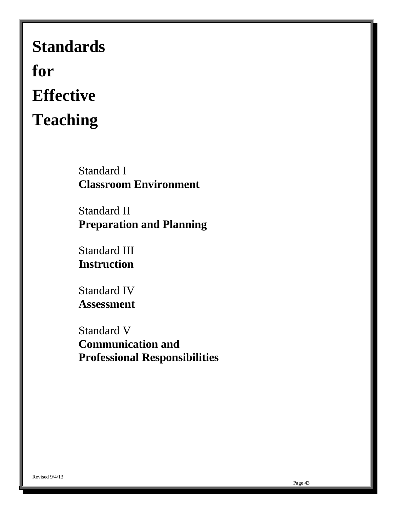# <span id="page-44-0"></span>**Standards for Effective Teaching**

Standard I **Classroom Environment**

Standard II **Preparation and Planning**

Standard III **Instruction**

Standard IV **Assessment**

Standard V **Communication and Professional Responsibilities**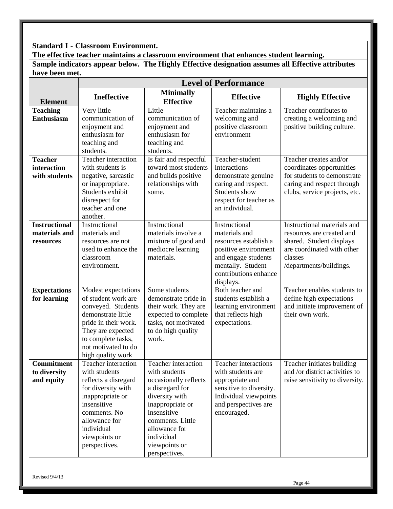## <span id="page-45-0"></span>**Standard I - Classroom Environment.**

**The effective teacher maintains a classroom environment that enhances student learning. Sample indicators appear below. The Highly Effective designation assumes all Effective attributes have been met.**

|                                                    | <b>Level of Performance</b>                                                                                                                                                                            |                                                                                                                                                                                                                            |                                                                                                                                                                   |                                                                                                                                                          |  |
|----------------------------------------------------|--------------------------------------------------------------------------------------------------------------------------------------------------------------------------------------------------------|----------------------------------------------------------------------------------------------------------------------------------------------------------------------------------------------------------------------------|-------------------------------------------------------------------------------------------------------------------------------------------------------------------|----------------------------------------------------------------------------------------------------------------------------------------------------------|--|
| <b>Element</b>                                     | <b>Ineffective</b>                                                                                                                                                                                     | <b>Minimally</b><br><b>Effective</b>                                                                                                                                                                                       | <b>Effective</b>                                                                                                                                                  | <b>Highly Effective</b>                                                                                                                                  |  |
| <b>Teaching</b><br><b>Enthusiasm</b>               | Very little<br>communication of<br>enjoyment and<br>enthusiasm for<br>teaching and<br>students.                                                                                                        | Little<br>communication of<br>enjoyment and<br>enthusiasm for<br>teaching and<br>students.                                                                                                                                 | Teacher maintains a<br>welcoming and<br>positive classroom<br>environment                                                                                         | Teacher contributes to<br>creating a welcoming and<br>positive building culture.                                                                         |  |
| <b>Teacher</b><br>interaction<br>with students     | Teacher interaction<br>with students is<br>negative, sarcastic<br>or inappropriate.<br>Students exhibit<br>disrespect for<br>teacher and one<br>another.                                               | Is fair and respectful<br>toward most students<br>and builds positive<br>relationships with<br>some.                                                                                                                       | Teacher-student<br>interactions<br>demonstrate genuine<br>caring and respect.<br>Students show<br>respect for teacher as<br>an individual.                        | Teacher creates and/or<br>coordinates opportunities<br>for students to demonstrate<br>caring and respect through<br>clubs, service projects, etc.        |  |
| <b>Instructional</b><br>materials and<br>resources | Instructional<br>materials and<br>resources are not<br>used to enhance the<br>classroom<br>environment.                                                                                                | Instructional<br>materials involve a<br>mixture of good and<br>mediocre learning<br>materials.                                                                                                                             | Instructional<br>materials and<br>resources establish a<br>positive environment<br>and engage students<br>mentally. Student<br>contributions enhance<br>displays. | Instructional materials and<br>resources are created and<br>shared. Student displays<br>are coordinated with other<br>classes<br>/departments/buildings. |  |
| <b>Expectations</b><br>for learning                | Modest expectations<br>of student work are<br>conveyed. Students<br>demonstrate little<br>pride in their work.<br>They are expected<br>to complete tasks,<br>not motivated to do<br>high quality work  | Some students<br>demonstrate pride in<br>their work. They are<br>expected to complete<br>tasks, not motivated<br>to do high quality<br>work.                                                                               | Both teacher and<br>students establish a<br>learning environment<br>that reflects high<br>expectations.                                                           | Teacher enables students to<br>define high expectations<br>and initiate improvement of<br>their own work.                                                |  |
| <b>Commitment</b><br>to diversity<br>and equity    | Teacher interaction<br>with students<br>reflects a disregard<br>for diversity with<br>inappropriate or<br>insensitive<br>comments. No<br>allowance for<br>individual<br>viewpoints or<br>perspectives. | Teacher interaction<br>with students<br>occasionally reflects<br>a disregard for<br>diversity with<br>inappropriate or<br>insensitive<br>comments. Little<br>allowance for<br>individual<br>viewpoints or<br>perspectives. | Teacher interactions<br>with students are<br>appropriate and<br>sensitive to diversity.<br>Individual viewpoints<br>and perspectives are<br>encouraged.           | Teacher initiates building<br>and /or district activities to<br>raise sensitivity to diversity.                                                          |  |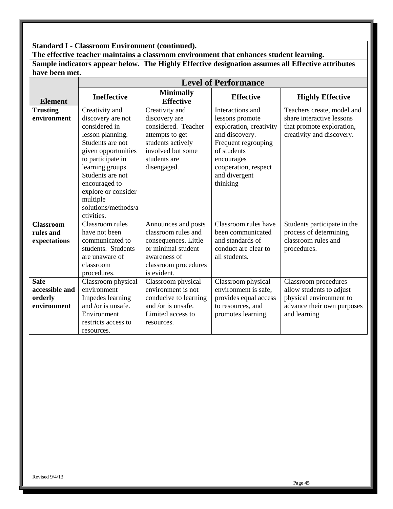## **Standard I - Classroom Environment (continued).**

**The effective teacher maintains a classroom environment that enhances student learning.** 

**Sample indicators appear below. The Highly Effective designation assumes all Effective attributes have been met.**

|                  | <b>Level of Performance</b>        |                                      |                                            |                                                        |  |
|------------------|------------------------------------|--------------------------------------|--------------------------------------------|--------------------------------------------------------|--|
| <b>Element</b>   | <b>Ineffective</b>                 | <b>Minimally</b><br><b>Effective</b> | <b>Effective</b>                           | <b>Highly Effective</b>                                |  |
| <b>Trusting</b>  | Creativity and                     | Creativity and                       | Interactions and                           | Teachers create, model and                             |  |
| environment      | discovery are not<br>considered in | discovery are<br>considered. Teacher | lessons promote<br>exploration, creativity | share interactive lessons<br>that promote exploration, |  |
|                  | lesson planning.                   | attempts to get                      | and discovery.                             | creativity and discovery.                              |  |
|                  | Students are not                   | students actively                    | Frequent regrouping                        |                                                        |  |
|                  | given opportunities                | involved but some                    | of students                                |                                                        |  |
|                  | to participate in                  | students are                         | encourages                                 |                                                        |  |
|                  | learning groups.                   | disengaged.                          | cooperation, respect                       |                                                        |  |
|                  | Students are not                   |                                      | and divergent                              |                                                        |  |
|                  | encouraged to                      |                                      | thinking                                   |                                                        |  |
|                  | explore or consider<br>multiple    |                                      |                                            |                                                        |  |
|                  | solutions/methods/a                |                                      |                                            |                                                        |  |
|                  | ctivities.                         |                                      |                                            |                                                        |  |
| <b>Classroom</b> | Classroom rules                    | Announces and posts                  | Classroom rules have                       | Students participate in the                            |  |
| rules and        | have not been                      | classroom rules and                  | been communicated                          | process of determining                                 |  |
| expectations     | communicated to                    | consequences. Little                 | and standards of                           | classroom rules and                                    |  |
|                  | students. Students                 | or minimal student                   | conduct are clear to                       | procedures.                                            |  |
|                  | are unaware of                     | awareness of                         | all students.                              |                                                        |  |
|                  | classroom<br>procedures.           | classroom procedures<br>is evident.  |                                            |                                                        |  |
| <b>Safe</b>      | Classroom physical                 | Classroom physical                   | Classroom physical                         | Classroom procedures                                   |  |
| accessible and   | environment                        | environment is not                   | environment is safe,                       | allow students to adjust                               |  |
| orderly          | Impedes learning                   | conducive to learning                | provides equal access                      | physical environment to                                |  |
| environment      | and /or is unsafe.                 | and /or is unsafe.                   | to resources, and                          | advance their own purposes                             |  |
|                  | Environment                        | Limited access to                    | promotes learning.                         | and learning                                           |  |
|                  | restricts access to                | resources.                           |                                            |                                                        |  |
|                  | resources.                         |                                      |                                            |                                                        |  |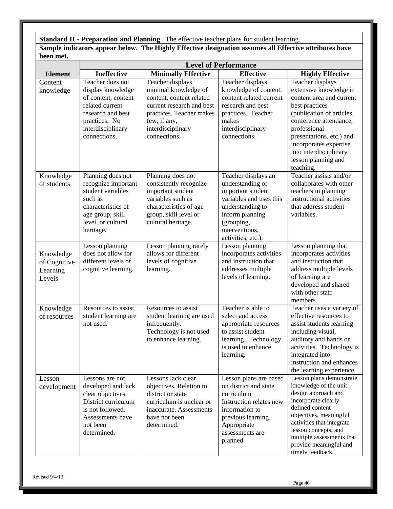<span id="page-47-0"></span>**Standard II - Preparation and Planning**. The effective teacher plans for student learning. **Sample indicators appear below. The Highly Effective designation assumes all Effective attributes have been met.**

|                                                 | <b>Level of Performance</b>                                                                                                                                |                                                                                                                                                                                    |                                                                                                                                                                                      |                                                                                                                                                                                                                                                                                     |
|-------------------------------------------------|------------------------------------------------------------------------------------------------------------------------------------------------------------|------------------------------------------------------------------------------------------------------------------------------------------------------------------------------------|--------------------------------------------------------------------------------------------------------------------------------------------------------------------------------------|-------------------------------------------------------------------------------------------------------------------------------------------------------------------------------------------------------------------------------------------------------------------------------------|
| <b>Element</b>                                  | Ineffective                                                                                                                                                | <b>Minimally Effective</b>                                                                                                                                                         | <b>Effective</b>                                                                                                                                                                     | <b>Highly Effective</b>                                                                                                                                                                                                                                                             |
| Content<br>knowledge                            | Teacher does not<br>display knowledge<br>of content, content<br>related current<br>research and best<br>practices. No<br>interdisciplinary<br>connections. | Teacher displays<br>minimal knowledge of<br>content, content related<br>current research and best<br>practices. Teacher makes<br>few, if any,<br>interdisciplinary<br>connections. | Teacher displays<br>knowledge of content,<br>content related current<br>research and best<br>practices. Teacher<br>makes<br>interdisciplinary<br>connections.                        | Teacher displays<br>extensive knowledge in<br>content area and current<br>best practices<br>(publication of articles,<br>conference attendance,<br>professional<br>presentations, etc.) and<br>incorporates expertise<br>into interdisciplinary<br>lesson planning and<br>teaching. |
| Knowledge<br>of students                        | Planning does not<br>recognize important<br>student variables<br>such as<br>characteristics of<br>age group, skill<br>level, or cultural<br>heritage.      | Planning does not<br>consistently recognize<br>important student<br>variables such as<br>characteristics of age<br>group, skill level or<br>cultural heritage.                     | Teacher displays an<br>understanding of<br>important student<br>variables and uses this<br>understanding to<br>inform planning<br>(grouping,<br>interventions,<br>activities, etc.). | Teacher assists and/or<br>collaborates with other<br>teachers in planning<br>instructional activities<br>that address student<br>variables.                                                                                                                                         |
| Knowledge<br>of Cognitive<br>Learning<br>Levels | Lesson planning<br>does not allow for<br>different levels of<br>cognitive learning.                                                                        | Lesson planning rarely<br>allows for different<br>levels of cognitive<br>learning.                                                                                                 | Lesson planning<br>incorporates activities<br>and instruction that<br>addresses multiple<br>levels of learning.                                                                      | Lesson planning that<br>incorporates activities<br>and instruction that<br>address multiple levels<br>of learning are<br>developed and shared<br>with other staff<br>members.                                                                                                       |
| Knowledge<br>of resources                       | Resources to assist<br>student learning are<br>not used.                                                                                                   | Resources to assist<br>student learning are used<br>infrequently.<br>Technology is not used<br>to enhance learning.                                                                | Teacher is able to<br>select and access<br>appropriate resources<br>to assist student<br>learning. Technology<br>is used to enhance<br>learning.                                     | Teacher uses a variety of<br>effective resources to<br>assist students learning<br>including visual,<br>auditory and hands on<br>activities. Technology is<br>integrated into<br>instruction and enhances<br>the learning experience.                                               |
| Lesson<br>development                           | Lessons are not<br>developed and lack<br>clear objectives.<br>District curriculum<br>is not followed.<br>Assessments have<br>not been<br>determined.       | Lessons lack clear<br>objectives. Relation to<br>district or state<br>curriculum is unclear or<br>inaccurate. Assessments<br>have not been<br>determined.                          | Lesson plans are based<br>on district and state<br>curriculum.<br>Instruction relates new<br>information to<br>previous learning.<br>Appropriate<br>assessments are<br>planned.      | Lesson plans demonstrate<br>knowledge of the unit<br>design approach and<br>incorporate clearly<br>defined content<br>objectives, meaningful<br>activities that integrate<br>lesson concepts, and<br>multiple assessments that<br>provide meaningful and<br>timely feedback.        |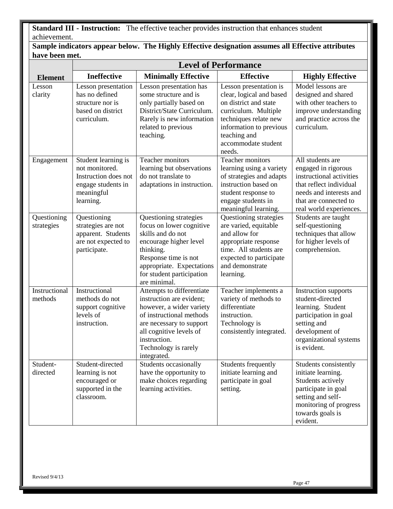<span id="page-48-0"></span>**Standard III - Instruction:** The effective teacher provides instruction that enhances student achievement.

|                | Sample indicators appear below. The Highly Effective designation assumes all Effective attributes |
|----------------|---------------------------------------------------------------------------------------------------|
| have been met. |                                                                                                   |

|                           | <b>Level of Performance</b>                                                                                    |                                                                                                                                                                                                                             |                                                                                                                                                                                                          |                                                                                                                                                                               |
|---------------------------|----------------------------------------------------------------------------------------------------------------|-----------------------------------------------------------------------------------------------------------------------------------------------------------------------------------------------------------------------------|----------------------------------------------------------------------------------------------------------------------------------------------------------------------------------------------------------|-------------------------------------------------------------------------------------------------------------------------------------------------------------------------------|
| <b>Element</b>            | <b>Ineffective</b>                                                                                             | <b>Minimally Effective</b>                                                                                                                                                                                                  | <b>Effective</b>                                                                                                                                                                                         | <b>Highly Effective</b>                                                                                                                                                       |
| Lesson<br>clarity         | Lesson presentation<br>has no defined<br>structure nor is<br>based on district<br>curriculum.                  | Lesson presentation has<br>some structure and is<br>only partially based on<br>District/State Curriculum.<br>Rarely is new information<br>related to previous<br>teaching.                                                  | Lesson presentation is<br>clear, logical and based<br>on district and state<br>curriculum. Multiple<br>techniques relate new<br>information to previous<br>teaching and<br>accommodate student<br>needs. | Model lessons are<br>designed and shared<br>with other teachers to<br>improve understanding<br>and practice across the<br>curriculum.                                         |
| Engagement                | Student learning is<br>not monitored.<br>Instruction does not<br>engage students in<br>meaningful<br>learning. | <b>Teacher monitors</b><br>learning but observations<br>do not translate to<br>adaptations in instruction.                                                                                                                  | <b>Teacher monitors</b><br>learning using a variety<br>of strategies and adapts<br>instruction based on<br>student response to<br>engage students in<br>meaningful learning.                             | All students are<br>engaged in rigorous<br>instructional activities<br>that reflect individual<br>needs and interests and<br>that are connected to<br>real world experiences. |
| Questioning<br>strategies | Questioning<br>strategies are not<br>apparent. Students<br>are not expected to<br>participate.                 | Questioning strategies<br>focus on lower cognitive<br>skills and do not<br>encourage higher level<br>thinking.<br>Response time is not<br>appropriate. Expectations<br>for student participation<br>are minimal.            | Questioning strategies<br>are varied, equitable<br>and allow for<br>appropriate response<br>time. All students are<br>expected to participate<br>and demonstrate<br>learning.                            | Students are taught<br>self-questioning<br>techniques that allow<br>for higher levels of<br>comprehension.                                                                    |
| Instructional<br>methods  | Instructional<br>methods do not<br>support cognitive<br>levels of<br>instruction.                              | Attempts to differentiate<br>instruction are evident;<br>however, a wider variety<br>of instructional methods<br>are necessary to support<br>all cognitive levels of<br>instruction.<br>Technology is rarely<br>integrated. | Teacher implements a<br>variety of methods to<br>differentiate<br>instruction.<br>Technology is<br>consistently integrated.                                                                              | Instruction supports<br>student-directed<br>learning. Student<br>participation in goal<br>setting and<br>development of<br>organizational systems<br>is evident.              |
| Student-<br>directed      | Student-directed<br>learning is not<br>encouraged or<br>supported in the<br>classroom.                         | Students occasionally<br>have the opportunity to<br>make choices regarding<br>learning activities.                                                                                                                          | Students frequently<br>initiate learning and<br>participate in goal<br>setting.                                                                                                                          | Students consistently<br>initiate learning.<br>Students actively<br>participate in goal<br>setting and self-<br>monitoring of progress<br>towards goals is<br>evident.        |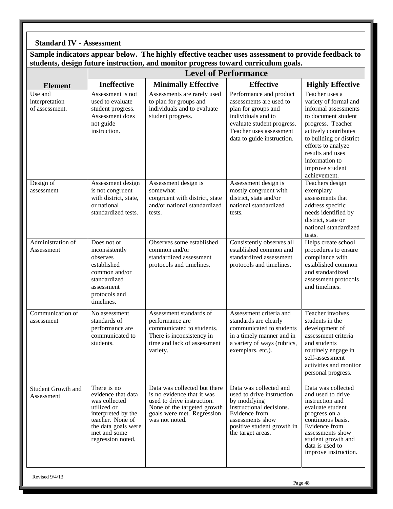## **Standard IV - Assessment**

**Sample indicators appear below. The highly effective teacher uses assessment to provide feedback to students, design future instruction, and monitor progress toward curriculum goals.**

|                                             | <b>Level of Performance</b>                                                                                                                                             |                                                                                                                                                                         |                                                                                                                                                                                         |                                                                                                                                                                                                                                                               |  |
|---------------------------------------------|-------------------------------------------------------------------------------------------------------------------------------------------------------------------------|-------------------------------------------------------------------------------------------------------------------------------------------------------------------------|-----------------------------------------------------------------------------------------------------------------------------------------------------------------------------------------|---------------------------------------------------------------------------------------------------------------------------------------------------------------------------------------------------------------------------------------------------------------|--|
| <b>Element</b>                              | <b>Ineffective</b>                                                                                                                                                      | <b>Minimally Effective</b>                                                                                                                                              | <b>Effective</b>                                                                                                                                                                        | <b>Highly Effective</b>                                                                                                                                                                                                                                       |  |
| Use and<br>interpretation<br>of assessment. | Assessment is not<br>used to evaluate<br>student progress.<br>Assessment does<br>not guide<br>instruction.                                                              | Assessments are rarely used<br>to plan for groups and<br>individuals and to evaluate<br>student progress.                                                               | Performance and product<br>assessments are used to<br>plan for groups and<br>individuals and to<br>evaluate student progress.<br>Teacher uses assessment<br>data to guide instruction.  | Teacher uses a<br>variety of formal and<br>informal assessments<br>to document student<br>progress. Teacher<br>actively contributes<br>to building or district<br>efforts to analyze<br>results and uses<br>information to<br>improve student<br>achievement. |  |
| Design of<br>assessment                     | Assessment design<br>is not congruent<br>with district, state,<br>or national<br>standardized tests.                                                                    | Assessment design is<br>somewhat<br>congruent with district, state<br>and/or national standardized<br>tests.                                                            | Assessment design is<br>mostly congruent with<br>district, state and/or<br>national standardized<br>tests.                                                                              | Teachers design<br>exemplary<br>assessments that<br>address specific<br>needs identified by<br>district, state or<br>national standardized<br>tests.                                                                                                          |  |
| Administration of<br>Assessment             | Does not or<br>inconsistently<br>observes<br>established<br>common and/or<br>standardized<br>assessment<br>protocols and<br>timelines.                                  | Observes some established<br>common and/or<br>standardized assessment<br>protocols and timelines.                                                                       | Consistently observes all<br>established common and<br>standardized assessment<br>protocols and timelines.                                                                              | Helps create school<br>procedures to ensure<br>compliance with<br>established common<br>and standardized<br>assessment protocols<br>and timelines.                                                                                                            |  |
| Communication of<br>assessment              | No assessment<br>standards of<br>performance are<br>communicated to<br>students.                                                                                        | Assessment standards of<br>performance are<br>communicated to students.<br>There is inconsistency in<br>time and lack of assessment<br>variety.                         | Assessment criteria and<br>standards are clearly<br>communicated to students<br>in a timely manner and in<br>a variety of ways (rubrics,<br>exemplars, etc.).                           | Teacher involves<br>students in the<br>development of<br>assessment criteria<br>and students<br>routinely engage in<br>self-assessment<br>activities and monitor<br>personal progress.                                                                        |  |
| <b>Student Growth and</b><br>Assessment     | There is no<br>evidence that data<br>was collected<br>utilized or<br>interpreted by the<br>teacher. None of<br>the data goals were<br>met and some<br>regression noted. | Data was collected but there<br>is no evidence that it was<br>used to drive instruction.<br>None of the targeted growth<br>goals were met. Regression<br>was not noted. | Data was collected and<br>used to drive instruction<br>by modifying<br>instructional decisions.<br>Evidence from<br>assessments show<br>positive student growth in<br>the target areas. | Data was collected<br>and used to drive<br>instruction and<br>evaluate student<br>progress on a<br>continuous basis.<br>Evidence from<br>assessments show<br>student growth and<br>data is used to<br>improve instruction.                                    |  |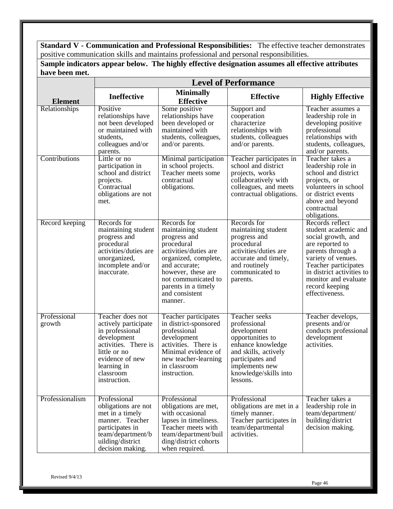**Standard V - Communication and Professional Responsibilities:** The effective teacher demonstrates positive communication skills and maintains professional and personal responsibilities.

| nave been met.         |                                                                                                                                                                                   |                                                                                                                                                                                                                                     |                                                                                                                                                                                          |                                                                                                                                                                                                                                              |  |  |  |
|------------------------|-----------------------------------------------------------------------------------------------------------------------------------------------------------------------------------|-------------------------------------------------------------------------------------------------------------------------------------------------------------------------------------------------------------------------------------|------------------------------------------------------------------------------------------------------------------------------------------------------------------------------------------|----------------------------------------------------------------------------------------------------------------------------------------------------------------------------------------------------------------------------------------------|--|--|--|
|                        |                                                                                                                                                                                   | <b>Level of Performance</b>                                                                                                                                                                                                         |                                                                                                                                                                                          |                                                                                                                                                                                                                                              |  |  |  |
| <b>Element</b>         | <b>Ineffective</b>                                                                                                                                                                | <b>Minimally</b><br><b>Effective</b>                                                                                                                                                                                                | <b>Effective</b>                                                                                                                                                                         | <b>Highly Effective</b>                                                                                                                                                                                                                      |  |  |  |
| Relationships          | Positive<br>relationships have<br>not been developed<br>or maintained with<br>students,<br>colleagues and/or<br>parents.                                                          | Some positive<br>relationships have<br>been developed or<br>maintained with<br>students, colleagues,<br>and/or parents.                                                                                                             | Support and<br>cooperation<br>characterize<br>relationships with<br>students, colleagues<br>and/or parents.                                                                              | Teacher assumes a<br>leadership role in<br>developing positive<br>professional<br>relationships with<br>students, colleagues,<br>and/or parents.                                                                                             |  |  |  |
| Contributions          | Little or no<br>participation in<br>school and district<br>projects.<br>Contractual<br>obligations are not<br>met.                                                                | Minimal participation<br>in school projects.<br>Teacher meets some<br>contractual<br>obligations.                                                                                                                                   | Teacher participates in<br>school and district<br>projects, works<br>collaboratively with<br>colleagues, and meets<br>contractual obligations.                                           | Teacher takes a<br>leadership role in<br>school and district<br>projects, or<br>volunteers in school<br>or district events<br>above and beyond<br>contractual<br>obligations.                                                                |  |  |  |
| Record keeping         | Records for<br>maintaining student<br>progress and<br>procedural<br>activities/duties are<br>unorganized,<br>incomplete and/or<br>inaccurate.                                     | Records for<br>maintaining student<br>progress and<br>procedural<br>activities/duties are<br>organized, complete,<br>and accurate;<br>however, these are<br>not communicated to<br>parents in a timely<br>and consistent<br>manner. | Records for<br>maintaining student<br>progress and<br>procedural<br>activities/duties are<br>accurate and timely,<br>and routinely<br>communicated to<br>parents.                        | Records reflect<br>student academic and<br>social growth, and<br>are reported to<br>parents through a<br>variety of venues.<br>Teacher participates<br>in district activities to<br>monitor and evaluate<br>record keeping<br>effectiveness. |  |  |  |
| Professional<br>growth | Teacher does not<br>actively participate<br>in professional<br>development<br>activities. There is<br>little or no<br>evidence of new<br>learning in<br>classroom<br>instruction. | Teacher participates<br>in district-sponsored<br>professional<br>development<br>activities. There is<br>Minimal evidence of<br>new teacher-learning<br>in classroom<br>instruction.                                                 | Teacher seeks<br>professional<br>development<br>opportunities to<br>enhance knowledge<br>and skills, actively<br>participates and<br>implements new<br>knowledge/skills into<br>lessons. | Teacher develops,<br>presents and/or<br>conducts professional<br>development<br>activities.                                                                                                                                                  |  |  |  |
| Professionalism        | Professional<br>obligations are not<br>met in a timely<br>manner. Teacher<br>participates in<br>team/department/b<br>uilding/district<br>decision making.                         | Professional<br>obligations are met,<br>with occasional<br>lapses in timeliness.<br>Teacher meets with<br>team/department/buil<br>ding/district cohorts<br>when required.                                                           | Professional<br>obligations are met in a<br>timely manner.<br>Teacher participates in<br>team/departmental<br>activities.                                                                | Teacher takes a<br>leadership role in<br>team/department/<br>building/district<br>decision making.                                                                                                                                           |  |  |  |

**Sample indicators appear below. The highly effective designation assumes all effective attributes have been met.**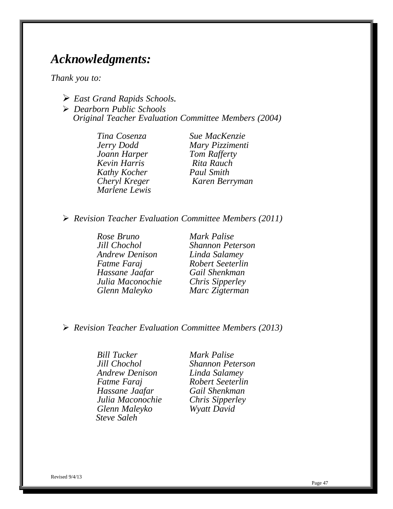## <span id="page-51-0"></span>*Acknowledgments:*

*Thank you to:*

- *East Grand Rapids Schools.*
- *Dearborn Public Schools Original Teacher Evaluation Committee Members (2004)*

*Tina Cosenza Sue MacKenzie Joann Harper Tom Rafferty Kevin Harris Rita Rauch Kathy Kocher Paul Smith Marlene Lewis*

*Jerry Dodd Mary Pizzimenti Cheryl Kreger Karen Berryman*

*Revision Teacher Evaluation Committee Members (2011)*

*Rose Bruno Mark Palise Andrew Denison Linda Salamey Fatme Faraj Robert Seeterlin Hassane Jaafar Julia Maconochie Chris Sipperley Glenn Maleyko Marc Zigterman*

*Jill Chochol Shannon Peterson*

*Revision Teacher Evaluation Committee Members (2013)*

*Bill Tucker Mark Palise Jill Chochol Shannon Peterson Andrew Denison Linda Salamey Fatme Faraj Robert Seeterlin Hassane Jaafar Gail Shenkman Julia Maconochie Chris Sipperley Glenn Maleyko Wyatt David Steve Saleh*